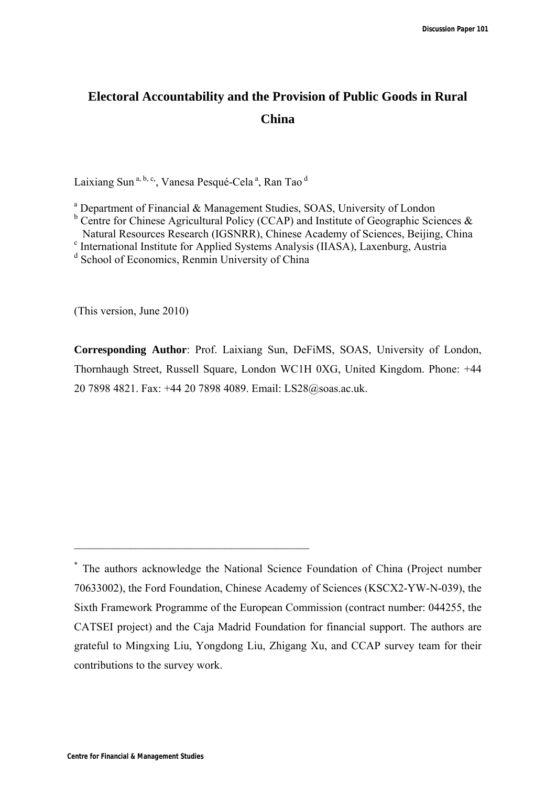# **Electoral Accountability and the Provision of Public Goods in Rural China**

Laixiang Sun<sup>a, b, c</sup>, Vanesa Pesqué-Cela<sup>a</sup>, Ran Tao <sup>d</sup>

<sup>a</sup> Department of Financial & Management Studies, SOAS, University of London

- $b$  Centre for Chinese Agricultural Policy (CCAP) and Institute of Geographic Sciences &
- Natural Resources Research (IGSNRR), Chinese Academy of Sciences, Beijing, China c
- <sup>c</sup> International Institute for Applied Systems Analysis (IIASA), Laxenburg, Austria

\_\_\_\_\_\_\_\_\_\_\_\_\_\_\_\_\_\_\_\_\_\_\_\_\_\_\_\_\_\_\_\_\_\_\_\_\_\_\_\_\_\_

(This version, June 2010)

**Corresponding Author**: Prof. Laixiang Sun, DeFiMS, SOAS, University of London, Thornhaugh Street, Russell Square, London WC1H 0XG, United Kingdom. Phone: +44 20 7898 4821. Fax: +44 20 7898 4089. Email: LS28@soas.ac.uk.

<sup>&</sup>lt;sup>d</sup> School of Economics, Renmin University of China

<sup>\*</sup> The authors acknowledge the National Science Foundation of China (Project number 70633002), the Ford Foundation, Chinese Academy of Sciences (KSCX2-YW-N-039), the Sixth Framework Programme of the European Commission (contract number: 044255, the CATSEI project) and the Caja Madrid Foundation for financial support. The authors are grateful to Mingxing Liu, Yongdong Liu, Zhigang Xu, and CCAP survey team for their contributions to the survey work.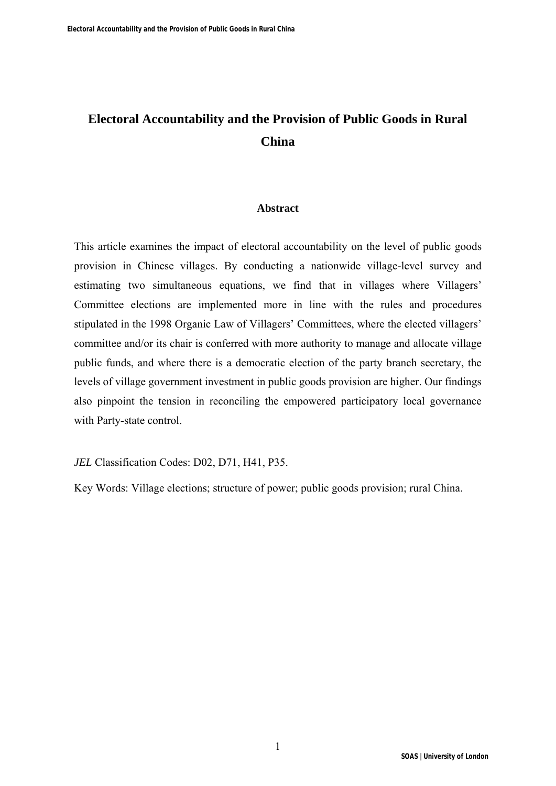# **Electoral Accountability and the Provision of Public Goods in Rural China**

#### **Abstract**

This article examines the impact of electoral accountability on the level of public goods provision in Chinese villages. By conducting a nationwide village-level survey and estimating two simultaneous equations, we find that in villages where Villagers' Committee elections are implemented more in line with the rules and procedures stipulated in the 1998 Organic Law of Villagers' Committees, where the elected villagers' committee and/or its chair is conferred with more authority to manage and allocate village public funds, and where there is a democratic election of the party branch secretary, the levels of village government investment in public goods provision are higher. Our findings also pinpoint the tension in reconciling the empowered participatory local governance with Party-state control.

*JEL* Classification Codes: D02, D71, H41, P35.

Key Words: Village elections; structure of power; public goods provision; rural China.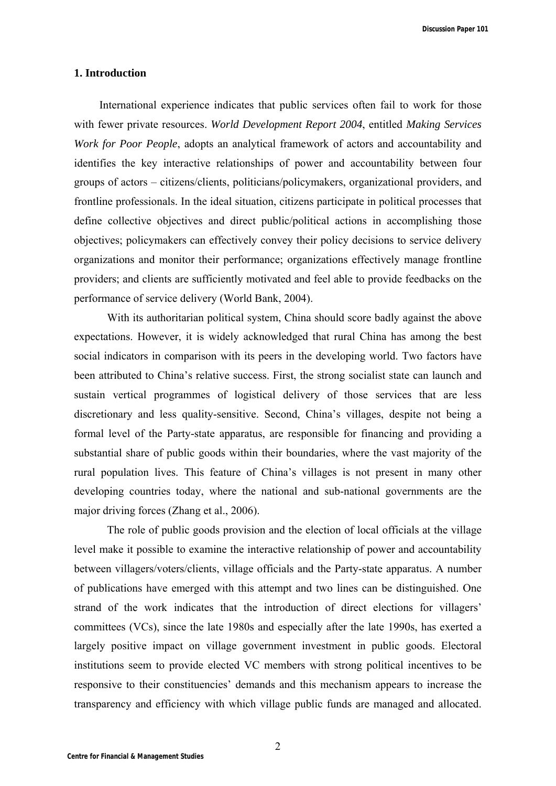**Discussion Paper 101**

### **1. Introduction**

International experience indicates that public services often fail to work for those with fewer private resources. *World Development Report 2004*, entitled *Making Services Work for Poor People*, adopts an analytical framework of actors and accountability and identifies the key interactive relationships of power and accountability between four groups of actors – citizens/clients, politicians/policymakers, organizational providers, and frontline professionals. In the ideal situation, citizens participate in political processes that define collective objectives and direct public/political actions in accomplishing those objectives; policymakers can effectively convey their policy decisions to service delivery organizations and monitor their performance; organizations effectively manage frontline providers; and clients are sufficiently motivated and feel able to provide feedbacks on the performance of service delivery (World Bank, 2004).

 With its authoritarian political system, China should score badly against the above expectations. However, it is widely acknowledged that rural China has among the best social indicators in comparison with its peers in the developing world. Two factors have been attributed to China's relative success. First, the strong socialist state can launch and sustain vertical programmes of logistical delivery of those services that are less discretionary and less quality-sensitive. Second, China's villages, despite not being a formal level of the Party-state apparatus, are responsible for financing and providing a substantial share of public goods within their boundaries, where the vast majority of the rural population lives. This feature of China's villages is not present in many other developing countries today, where the national and sub-national governments are the major driving forces (Zhang et al., 2006).

 The role of public goods provision and the election of local officials at the village level make it possible to examine the interactive relationship of power and accountability between villagers/voters/clients, village officials and the Party-state apparatus. A number of publications have emerged with this attempt and two lines can be distinguished. One strand of the work indicates that the introduction of direct elections for villagers' committees (VCs), since the late 1980s and especially after the late 1990s, has exerted a largely positive impact on village government investment in public goods. Electoral institutions seem to provide elected VC members with strong political incentives to be responsive to their constituencies' demands and this mechanism appears to increase the transparency and efficiency with which village public funds are managed and allocated.

2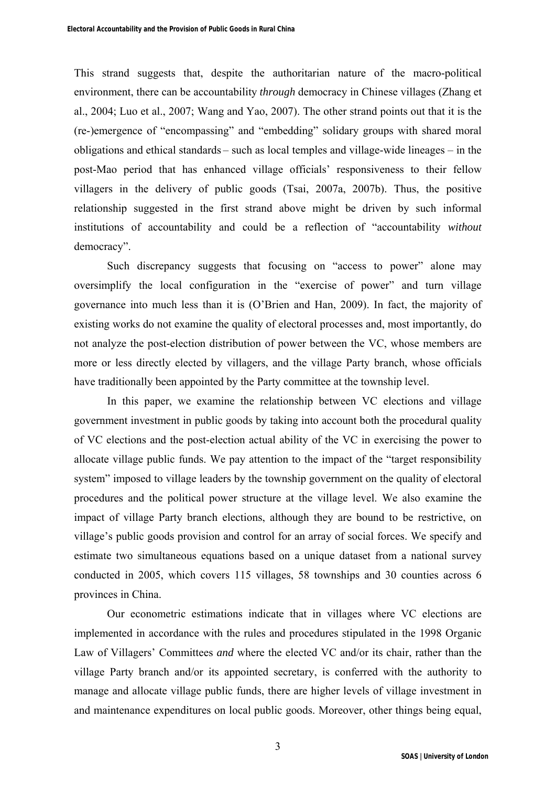This strand suggests that, despite the authoritarian nature of the macro-political environment, there can be accountability *through* democracy in Chinese villages (Zhang et al., 2004; Luo et al., 2007; Wang and Yao, 2007). The other strand points out that it is the (re-)emergence of "encompassing" and "embedding" solidary groups with shared moral obligations and ethical standards – such as local temples and village-wide lineages – in the post-Mao period that has enhanced village officials' responsiveness to their fellow villagers in the delivery of public goods (Tsai, 2007a, 2007b). Thus, the positive relationship suggested in the first strand above might be driven by such informal institutions of accountability and could be a reflection of "accountability *without* democracy".

Such discrepancy suggests that focusing on "access to power" alone may oversimplify the local configuration in the "exercise of power" and turn village governance into much less than it is (O'Brien and Han, 2009). In fact, the majority of existing works do not examine the quality of electoral processes and, most importantly, do not analyze the post-election distribution of power between the VC, whose members are more or less directly elected by villagers, and the village Party branch, whose officials have traditionally been appointed by the Party committee at the township level.

In this paper, we examine the relationship between VC elections and village government investment in public goods by taking into account both the procedural quality of VC elections and the post-election actual ability of the VC in exercising the power to allocate village public funds. We pay attention to the impact of the "target responsibility system" imposed to village leaders by the township government on the quality of electoral procedures and the political power structure at the village level. We also examine the impact of village Party branch elections, although they are bound to be restrictive, on village's public goods provision and control for an array of social forces. We specify and estimate two simultaneous equations based on a unique dataset from a national survey conducted in 2005, which covers 115 villages, 58 townships and 30 counties across 6 provinces in China.

Our econometric estimations indicate that in villages where VC elections are implemented in accordance with the rules and procedures stipulated in the 1998 Organic Law of Villagers' Committees *and* where the elected VC and/or its chair, rather than the village Party branch and/or its appointed secretary, is conferred with the authority to manage and allocate village public funds, there are higher levels of village investment in and maintenance expenditures on local public goods. Moreover, other things being equal,

3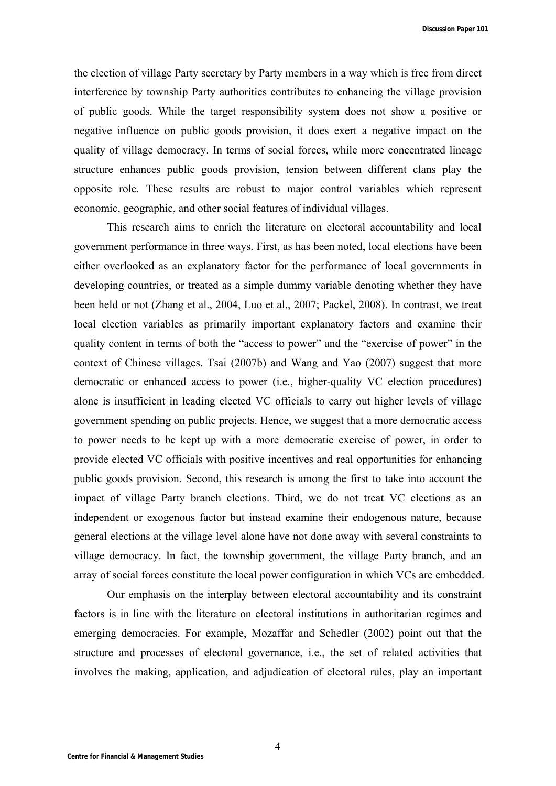**Discussion Paper 101**

the election of village Party secretary by Party members in a way which is free from direct interference by township Party authorities contributes to enhancing the village provision of public goods. While the target responsibility system does not show a positive or negative influence on public goods provision, it does exert a negative impact on the quality of village democracy. In terms of social forces, while more concentrated lineage structure enhances public goods provision, tension between different clans play the opposite role. These results are robust to major control variables which represent economic, geographic, and other social features of individual villages.

This research aims to enrich the literature on electoral accountability and local government performance in three ways. First, as has been noted, local elections have been either overlooked as an explanatory factor for the performance of local governments in developing countries, or treated as a simple dummy variable denoting whether they have been held or not (Zhang et al., 2004, Luo et al., 2007; Packel, 2008). In contrast, we treat local election variables as primarily important explanatory factors and examine their quality content in terms of both the "access to power" and the "exercise of power" in the context of Chinese villages. Tsai (2007b) and Wang and Yao (2007) suggest that more democratic or enhanced access to power (i.e., higher-quality VC election procedures) alone is insufficient in leading elected VC officials to carry out higher levels of village government spending on public projects. Hence, we suggest that a more democratic access to power needs to be kept up with a more democratic exercise of power, in order to provide elected VC officials with positive incentives and real opportunities for enhancing public goods provision. Second, this research is among the first to take into account the impact of village Party branch elections. Third, we do not treat VC elections as an independent or exogenous factor but instead examine their endogenous nature, because general elections at the village level alone have not done away with several constraints to village democracy. In fact, the township government, the village Party branch, and an array of social forces constitute the local power configuration in which VCs are embedded.

Our emphasis on the interplay between electoral accountability and its constraint factors is in line with the literature on electoral institutions in authoritarian regimes and emerging democracies. For example, Mozaffar and Schedler (2002) point out that the structure and processes of electoral governance, i.e., the set of related activities that involves the making, application, and adjudication of electoral rules, play an important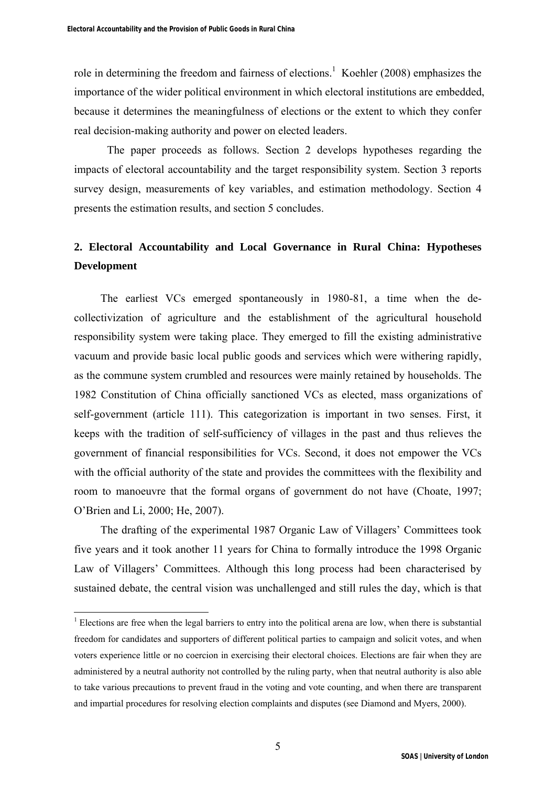role in determining the freedom and fairness of elections.<sup>1</sup> Koehler (2008) emphasizes the importance of the wider political environment in which electoral institutions are embedded, because it determines the meaningfulness of elections or the extent to which they confer real decision-making authority and power on elected leaders.

The paper proceeds as follows. Section 2 develops hypotheses regarding the impacts of electoral accountability and the target responsibility system. Section 3 reports survey design, measurements of key variables, and estimation methodology. Section 4 presents the estimation results, and section 5 concludes.

## **2. Electoral Accountability and Local Governance in Rural China: Hypotheses Development**

The earliest VCs emerged spontaneously in 1980-81, a time when the decollectivization of agriculture and the establishment of the agricultural household responsibility system were taking place. They emerged to fill the existing administrative vacuum and provide basic local public goods and services which were withering rapidly, as the commune system crumbled and resources were mainly retained by households. The 1982 Constitution of China officially sanctioned VCs as elected, mass organizations of self-government (article 111). This categorization is important in two senses. First, it keeps with the tradition of self-sufficiency of villages in the past and thus relieves the government of financial responsibilities for VCs. Second, it does not empower the VCs with the official authority of the state and provides the committees with the flexibility and room to manoeuvre that the formal organs of government do not have (Choate, 1997; O'Brien and Li, 2000; He, 2007).

The drafting of the experimental 1987 Organic Law of Villagers' Committees took five years and it took another 11 years for China to formally introduce the 1998 Organic Law of Villagers' Committees. Although this long process had been characterised by sustained debate, the central vision was unchallenged and still rules the day, which is that

 $<sup>1</sup>$  Elections are free when the legal barriers to entry into the political arena are low, when there is substantial</sup> freedom for candidates and supporters of different political parties to campaign and solicit votes, and when voters experience little or no coercion in exercising their electoral choices. Elections are fair when they are administered by a neutral authority not controlled by the ruling party, when that neutral authority is also able to take various precautions to prevent fraud in the voting and vote counting, and when there are transparent and impartial procedures for resolving election complaints and disputes (see Diamond and Myers, 2000).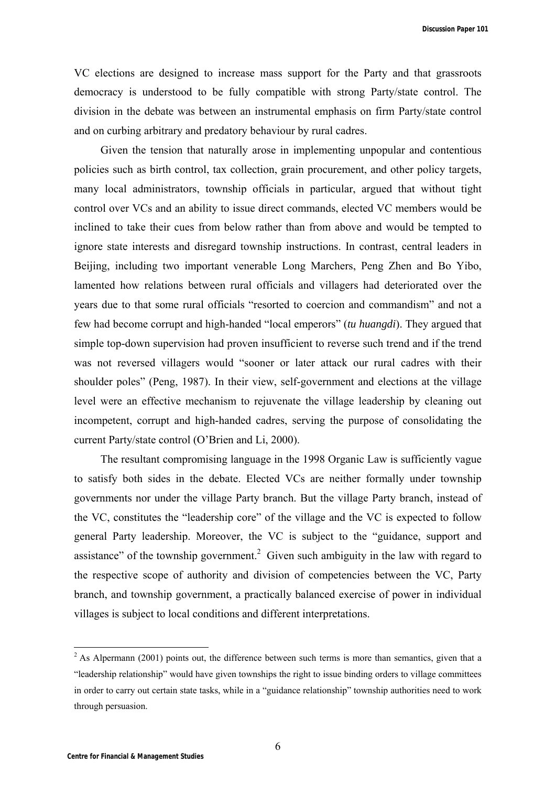**Discussion Paper 101**

VC elections are designed to increase mass support for the Party and that grassroots democracy is understood to be fully compatible with strong Party/state control. The division in the debate was between an instrumental emphasis on firm Party/state control and on curbing arbitrary and predatory behaviour by rural cadres.

Given the tension that naturally arose in implementing unpopular and contentious policies such as birth control, tax collection, grain procurement, and other policy targets, many local administrators, township officials in particular, argued that without tight control over VCs and an ability to issue direct commands, elected VC members would be inclined to take their cues from below rather than from above and would be tempted to ignore state interests and disregard township instructions. In contrast, central leaders in Beijing, including two important venerable Long Marchers, Peng Zhen and Bo Yibo, lamented how relations between rural officials and villagers had deteriorated over the years due to that some rural officials "resorted to coercion and commandism" and not a few had become corrupt and high-handed "local emperors" (*tu huangdi*). They argued that simple top-down supervision had proven insufficient to reverse such trend and if the trend was not reversed villagers would "sooner or later attack our rural cadres with their shoulder poles" (Peng, 1987). In their view, self-government and elections at the village level were an effective mechanism to rejuvenate the village leadership by cleaning out incompetent, corrupt and high-handed cadres, serving the purpose of consolidating the current Party/state control (O'Brien and Li, 2000).

The resultant compromising language in the 1998 Organic Law is sufficiently vague to satisfy both sides in the debate. Elected VCs are neither formally under township governments nor under the village Party branch. But the village Party branch, instead of the VC, constitutes the "leadership core" of the village and the VC is expected to follow general Party leadership. Moreover, the VC is subject to the "guidance, support and assistance" of the township government.<sup>2</sup> Given such ambiguity in the law with regard to the respective scope of authority and division of competencies between the VC, Party branch, and township government, a practically balanced exercise of power in individual villages is subject to local conditions and different interpretations.

 $2$  As Alpermann (2001) points out, the difference between such terms is more than semantics, given that a "leadership relationship" would have given townships the right to issue binding orders to village committees in order to carry out certain state tasks, while in a "guidance relationship" township authorities need to work through persuasion.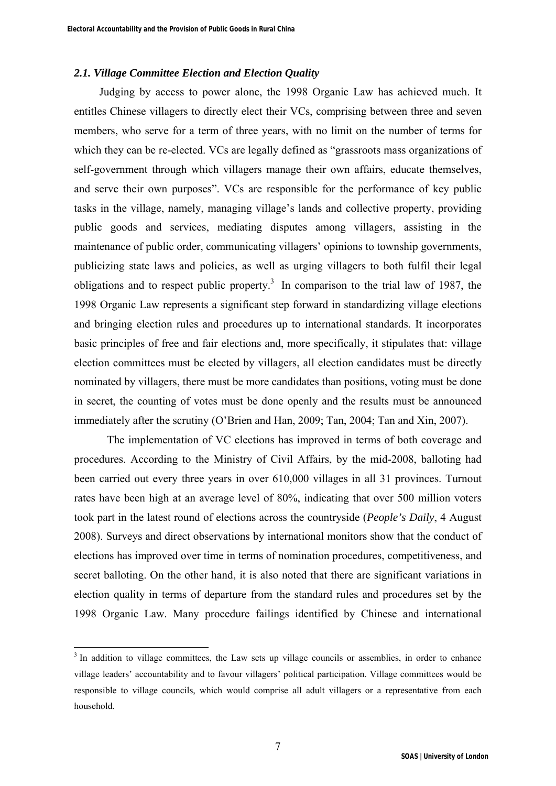## *2.1. Village Committee Election and Election Quality*

Judging by access to power alone, the 1998 Organic Law has achieved much. It entitles Chinese villagers to directly elect their VCs, comprising between three and seven members, who serve for a term of three years, with no limit on the number of terms for which they can be re-elected. VCs are legally defined as "grassroots mass organizations of self-government through which villagers manage their own affairs, educate themselves, and serve their own purposes". VCs are responsible for the performance of key public tasks in the village, namely, managing village's lands and collective property, providing public goods and services, mediating disputes among villagers, assisting in the maintenance of public order, communicating villagers' opinions to township governments, publicizing state laws and policies, as well as urging villagers to both fulfil their legal obligations and to respect public property.<sup>3</sup> In comparison to the trial law of 1987, the 1998 Organic Law represents a significant step forward in standardizing village elections and bringing election rules and procedures up to international standards. It incorporates basic principles of free and fair elections and, more specifically, it stipulates that: village election committees must be elected by villagers, all election candidates must be directly nominated by villagers, there must be more candidates than positions, voting must be done in secret, the counting of votes must be done openly and the results must be announced immediately after the scrutiny (O'Brien and Han, 2009; Tan, 2004; Tan and Xin, 2007).

The implementation of VC elections has improved in terms of both coverage and procedures. According to the Ministry of Civil Affairs, by the mid-2008, balloting had been carried out every three years in over 610,000 villages in all 31 provinces. Turnout rates have been high at an average level of 80%, indicating that over 500 million voters took part in the latest round of elections across the countryside (*People's Daily*, 4 August 2008). Surveys and direct observations by international monitors show that the conduct of elections has improved over time in terms of nomination procedures, competitiveness, and secret balloting. On the other hand, it is also noted that there are significant variations in election quality in terms of departure from the standard rules and procedures set by the 1998 Organic Law. Many procedure failings identified by Chinese and international

<sup>&</sup>lt;sup>3</sup> In addition to village committees, the Law sets up village councils or assemblies, in order to enhance village leaders' accountability and to favour villagers' political participation. Village committees would be responsible to village councils, which would comprise all adult villagers or a representative from each household.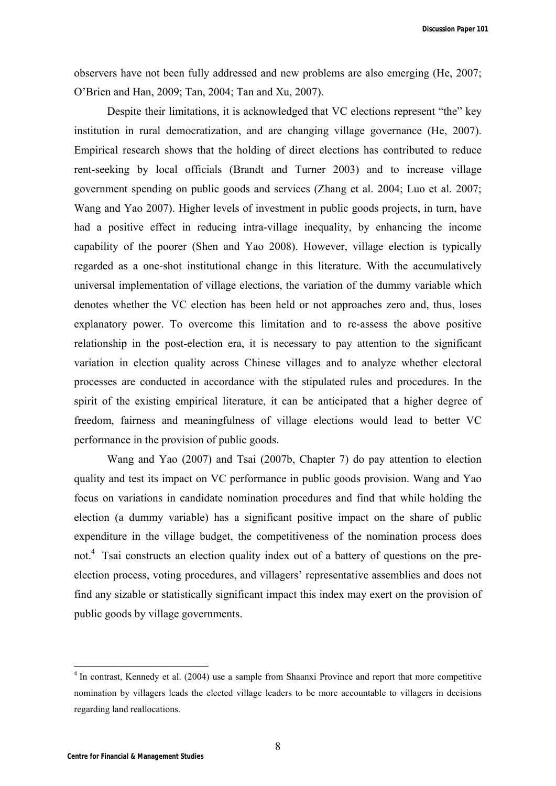observers have not been fully addressed and new problems are also emerging (He, 2007; O'Brien and Han, 2009; Tan, 2004; Tan and Xu, 2007).

Despite their limitations, it is acknowledged that VC elections represent "the" key institution in rural democratization, and are changing village governance (He, 2007). Empirical research shows that the holding of direct elections has contributed to reduce rent-seeking by local officials (Brandt and Turner 2003) and to increase village government spending on public goods and services (Zhang et al. 2004; Luo et al. 2007; Wang and Yao 2007). Higher levels of investment in public goods projects, in turn, have had a positive effect in reducing intra-village inequality, by enhancing the income capability of the poorer (Shen and Yao 2008). However, village election is typically regarded as a one-shot institutional change in this literature. With the accumulatively universal implementation of village elections, the variation of the dummy variable which denotes whether the VC election has been held or not approaches zero and, thus, loses explanatory power. To overcome this limitation and to re-assess the above positive relationship in the post-election era, it is necessary to pay attention to the significant variation in election quality across Chinese villages and to analyze whether electoral processes are conducted in accordance with the stipulated rules and procedures. In the spirit of the existing empirical literature, it can be anticipated that a higher degree of freedom, fairness and meaningfulness of village elections would lead to better VC performance in the provision of public goods.

Wang and Yao (2007) and Tsai (2007b, Chapter 7) do pay attention to election quality and test its impact on VC performance in public goods provision. Wang and Yao focus on variations in candidate nomination procedures and find that while holding the election (a dummy variable) has a significant positive impact on the share of public expenditure in the village budget, the competitiveness of the nomination process does not.<sup>4</sup> Tsai constructs an election quality index out of a battery of questions on the preelection process, voting procedures, and villagers' representative assemblies and does not find any sizable or statistically significant impact this index may exert on the provision of public goods by village governments.

<sup>&</sup>lt;sup>4</sup> In contrast, Kennedy et al. (2004) use a sample from Shaanxi Province and report that more competitive nomination by villagers leads the elected village leaders to be more accountable to villagers in decisions regarding land reallocations.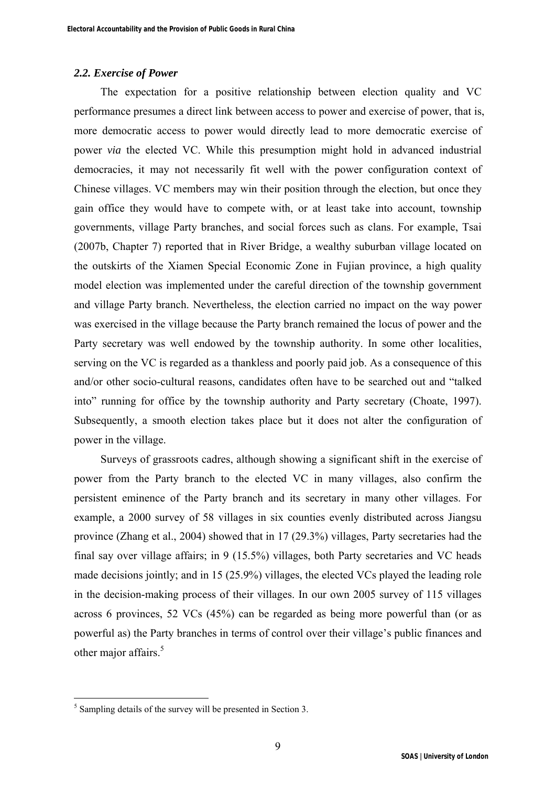## *2.2. Exercise of Power*

The expectation for a positive relationship between election quality and VC performance presumes a direct link between access to power and exercise of power, that is, more democratic access to power would directly lead to more democratic exercise of power *via* the elected VC. While this presumption might hold in advanced industrial democracies, it may not necessarily fit well with the power configuration context of Chinese villages. VC members may win their position through the election, but once they gain office they would have to compete with, or at least take into account, township governments, village Party branches, and social forces such as clans. For example, Tsai (2007b, Chapter 7) reported that in River Bridge, a wealthy suburban village located on the outskirts of the Xiamen Special Economic Zone in Fujian province, a high quality model election was implemented under the careful direction of the township government and village Party branch. Nevertheless, the election carried no impact on the way power was exercised in the village because the Party branch remained the locus of power and the Party secretary was well endowed by the township authority. In some other localities, serving on the VC is regarded as a thankless and poorly paid job. As a consequence of this and/or other socio-cultural reasons, candidates often have to be searched out and "talked into" running for office by the township authority and Party secretary (Choate, 1997). Subsequently, a smooth election takes place but it does not alter the configuration of power in the village.

Surveys of grassroots cadres, although showing a significant shift in the exercise of power from the Party branch to the elected VC in many villages, also confirm the persistent eminence of the Party branch and its secretary in many other villages. For example, a 2000 survey of 58 villages in six counties evenly distributed across Jiangsu province (Zhang et al., 2004) showed that in 17 (29.3%) villages, Party secretaries had the final say over village affairs; in 9 (15.5%) villages, both Party secretaries and VC heads made decisions jointly; and in 15 (25.9%) villages, the elected VCs played the leading role in the decision-making process of their villages. In our own 2005 survey of 115 villages across 6 provinces, 52 VCs (45%) can be regarded as being more powerful than (or as powerful as) the Party branches in terms of control over their village's public finances and other major affairs.<sup>5</sup>

<sup>&</sup>lt;sup>5</sup> Sampling details of the survey will be presented in Section 3.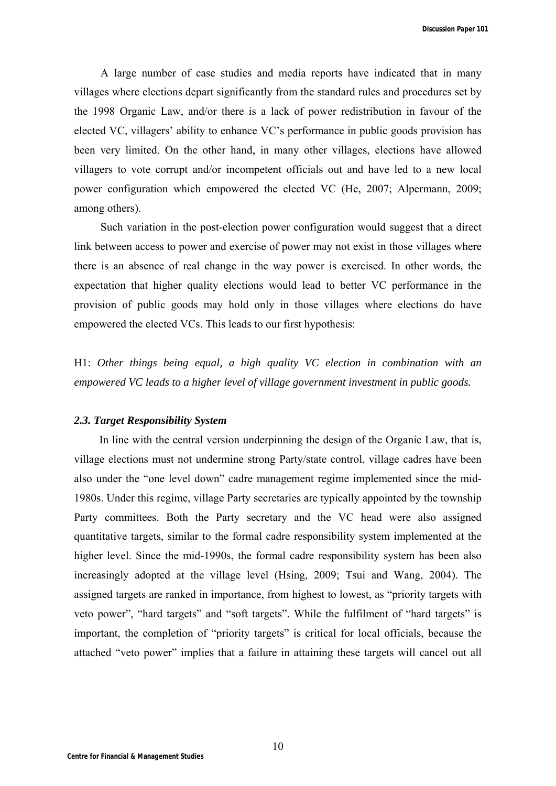A large number of case studies and media reports have indicated that in many villages where elections depart significantly from the standard rules and procedures set by the 1998 Organic Law, and/or there is a lack of power redistribution in favour of the elected VC, villagers' ability to enhance VC's performance in public goods provision has been very limited. On the other hand, in many other villages, elections have allowed villagers to vote corrupt and/or incompetent officials out and have led to a new local power configuration which empowered the elected VC (He, 2007; Alpermann, 2009; among others).

Such variation in the post-election power configuration would suggest that a direct link between access to power and exercise of power may not exist in those villages where there is an absence of real change in the way power is exercised. In other words, the expectation that higher quality elections would lead to better VC performance in the provision of public goods may hold only in those villages where elections do have empowered the elected VCs. This leads to our first hypothesis:

H1: *Other things being equal, a high quality VC election in combination with an empowered VC leads to a higher level of village government investment in public goods.* 

#### *2.3. Target Responsibility System*

In line with the central version underpinning the design of the Organic Law, that is, village elections must not undermine strong Party/state control, village cadres have been also under the "one level down" cadre management regime implemented since the mid-1980s. Under this regime, village Party secretaries are typically appointed by the township Party committees. Both the Party secretary and the VC head were also assigned quantitative targets, similar to the formal cadre responsibility system implemented at the higher level. Since the mid-1990s, the formal cadre responsibility system has been also increasingly adopted at the village level (Hsing, 2009; Tsui and Wang, 2004). The assigned targets are ranked in importance, from highest to lowest, as "priority targets with veto power", "hard targets" and "soft targets". While the fulfilment of "hard targets" is important, the completion of "priority targets" is critical for local officials, because the attached "veto power" implies that a failure in attaining these targets will cancel out all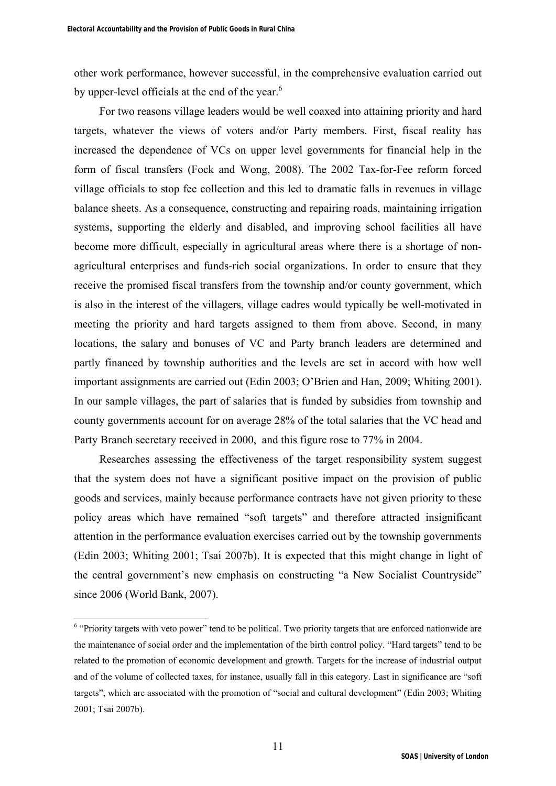other work performance, however successful, in the comprehensive evaluation carried out by upper-level officials at the end of the year.<sup>6</sup>

For two reasons village leaders would be well coaxed into attaining priority and hard targets, whatever the views of voters and/or Party members. First, fiscal reality has increased the dependence of VCs on upper level governments for financial help in the form of fiscal transfers (Fock and Wong, 2008). The 2002 Tax-for-Fee reform forced village officials to stop fee collection and this led to dramatic falls in revenues in village balance sheets. As a consequence, constructing and repairing roads, maintaining irrigation systems, supporting the elderly and disabled, and improving school facilities all have become more difficult, especially in agricultural areas where there is a shortage of nonagricultural enterprises and funds-rich social organizations. In order to ensure that they receive the promised fiscal transfers from the township and/or county government, which is also in the interest of the villagers, village cadres would typically be well-motivated in meeting the priority and hard targets assigned to them from above. Second, in many locations, the salary and bonuses of VC and Party branch leaders are determined and partly financed by township authorities and the levels are set in accord with how well important assignments are carried out (Edin 2003; O'Brien and Han, 2009; Whiting 2001). In our sample villages, the part of salaries that is funded by subsidies from township and county governments account for on average 28% of the total salaries that the VC head and Party Branch secretary received in 2000, and this figure rose to 77% in 2004.

Researches assessing the effectiveness of the target responsibility system suggest that the system does not have a significant positive impact on the provision of public goods and services, mainly because performance contracts have not given priority to these policy areas which have remained "soft targets" and therefore attracted insignificant attention in the performance evaluation exercises carried out by the township governments (Edin 2003; Whiting 2001; Tsai 2007b). It is expected that this might change in light of the central government's new emphasis on constructing "a New Socialist Countryside" since 2006 (World Bank, 2007).

<sup>&</sup>lt;sup>6</sup> "Priority targets with veto power" tend to be political. Two priority targets that are enforced nationwide are the maintenance of social order and the implementation of the birth control policy. "Hard targets" tend to be related to the promotion of economic development and growth. Targets for the increase of industrial output and of the volume of collected taxes, for instance, usually fall in this category. Last in significance are "soft targets", which are associated with the promotion of "social and cultural development" (Edin 2003; Whiting 2001; Tsai 2007b).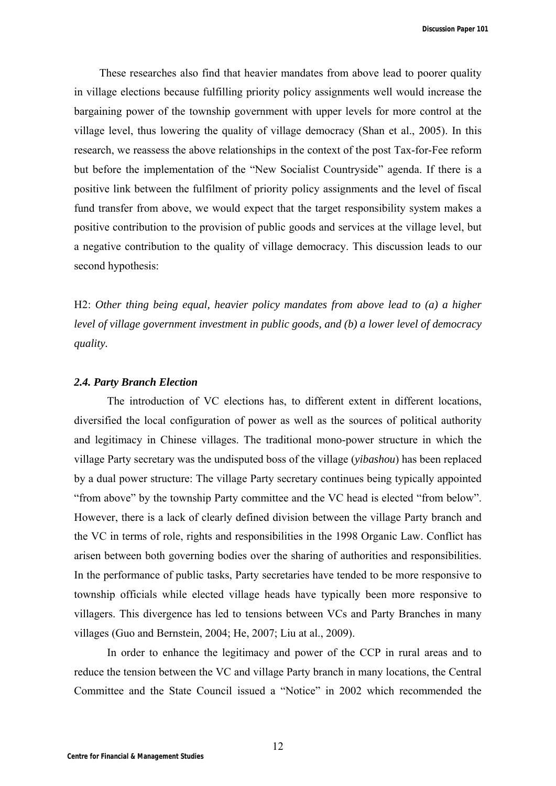**Discussion Paper 101**

These researches also find that heavier mandates from above lead to poorer quality in village elections because fulfilling priority policy assignments well would increase the bargaining power of the township government with upper levels for more control at the village level, thus lowering the quality of village democracy (Shan et al., 2005). In this research, we reassess the above relationships in the context of the post Tax-for-Fee reform but before the implementation of the "New Socialist Countryside" agenda. If there is a positive link between the fulfilment of priority policy assignments and the level of fiscal fund transfer from above, we would expect that the target responsibility system makes a positive contribution to the provision of public goods and services at the village level, but a negative contribution to the quality of village democracy. This discussion leads to our second hypothesis:

H2: *Other thing being equal, heavier policy mandates from above lead to (a) a higher level of village government investment in public goods, and (b) a lower level of democracy quality.*

#### *2.4. Party Branch Election*

The introduction of VC elections has, to different extent in different locations, diversified the local configuration of power as well as the sources of political authority and legitimacy in Chinese villages. The traditional mono-power structure in which the village Party secretary was the undisputed boss of the village (*yibashou*) has been replaced by a dual power structure: The village Party secretary continues being typically appointed "from above" by the township Party committee and the VC head is elected "from below". However, there is a lack of clearly defined division between the village Party branch and the VC in terms of role, rights and responsibilities in the 1998 Organic Law. Conflict has arisen between both governing bodies over the sharing of authorities and responsibilities. In the performance of public tasks, Party secretaries have tended to be more responsive to township officials while elected village heads have typically been more responsive to villagers. This divergence has led to tensions between VCs and Party Branches in many villages (Guo and Bernstein, 2004; He, 2007; Liu at al., 2009).

In order to enhance the legitimacy and power of the CCP in rural areas and to reduce the tension between the VC and village Party branch in many locations, the Central Committee and the State Council issued a "Notice" in 2002 which recommended the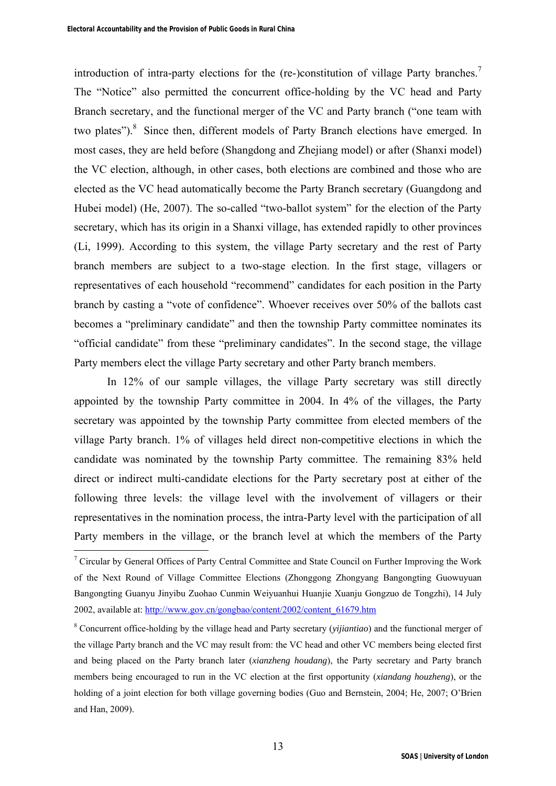introduction of intra-party elections for the (re-)constitution of village Party branches.<sup>7</sup> The "Notice" also permitted the concurrent office-holding by the VC head and Party Branch secretary, and the functional merger of the VC and Party branch ("one team with two plates").<sup>8</sup> Since then, different models of Party Branch elections have emerged. In most cases, they are held before (Shangdong and Zhejiang model) or after (Shanxi model) the VC election, although, in other cases, both elections are combined and those who are elected as the VC head automatically become the Party Branch secretary (Guangdong and Hubei model) (He, 2007). The so-called "two-ballot system" for the election of the Party secretary, which has its origin in a Shanxi village, has extended rapidly to other provinces (Li, 1999). According to this system, the village Party secretary and the rest of Party branch members are subject to a two-stage election. In the first stage, villagers or representatives of each household "recommend" candidates for each position in the Party branch by casting a "vote of confidence". Whoever receives over 50% of the ballots cast becomes a "preliminary candidate" and then the township Party committee nominates its "official candidate" from these "preliminary candidates". In the second stage, the village Party members elect the village Party secretary and other Party branch members.

In 12% of our sample villages, the village Party secretary was still directly appointed by the township Party committee in 2004. In 4% of the villages, the Party secretary was appointed by the township Party committee from elected members of the village Party branch. 1% of villages held direct non-competitive elections in which the candidate was nominated by the township Party committee. The remaining 83% held direct or indirect multi-candidate elections for the Party secretary post at either of the following three levels: the village level with the involvement of villagers or their representatives in the nomination process, the intra-Party level with the participation of all Party members in the village, or the branch level at which the members of the Party

<sup>&</sup>lt;sup>7</sup> Circular by General Offices of Party Central Committee and State Council on Further Improving the Work of the Next Round of Village Committee Elections (Zhonggong Zhongyang Bangongting Guowuyuan Bangongting Guanyu Jinyibu Zuohao Cunmin Weiyuanhui Huanjie Xuanju Gongzuo de Tongzhi), 14 July 2002, available at: http://www.gov.cn/gongbao/content/2002/content\_61679.htm

<sup>8</sup> Concurrent office-holding by the village head and Party secretary (*yijiantiao*) and the functional merger of the village Party branch and the VC may result from: the VC head and other VC members being elected first and being placed on the Party branch later (*xianzheng houdang*), the Party secretary and Party branch members being encouraged to run in the VC election at the first opportunity (*xiandang houzheng*), or the holding of a joint election for both village governing bodies (Guo and Bernstein, 2004; He, 2007; O'Brien and Han, 2009).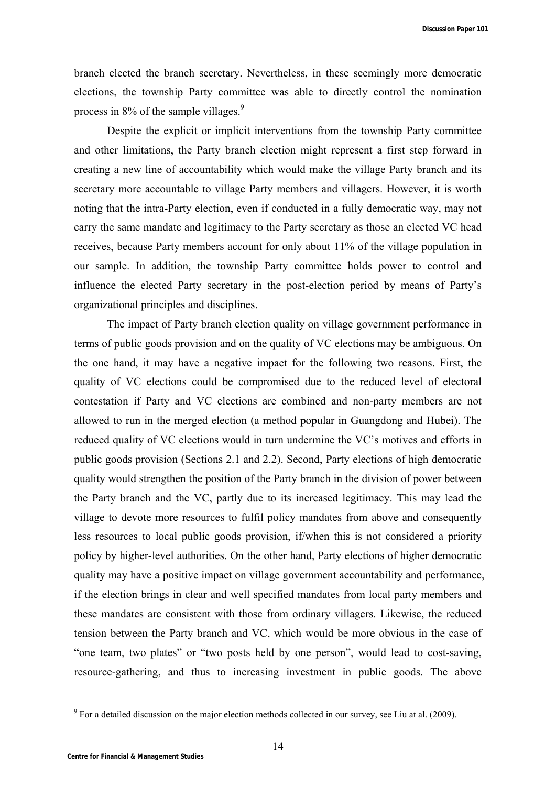**Discussion Paper 101**

branch elected the branch secretary. Nevertheless, in these seemingly more democratic elections, the township Party committee was able to directly control the nomination process in 8% of the sample villages.<sup>9</sup>

Despite the explicit or implicit interventions from the township Party committee and other limitations, the Party branch election might represent a first step forward in creating a new line of accountability which would make the village Party branch and its secretary more accountable to village Party members and villagers. However, it is worth noting that the intra-Party election, even if conducted in a fully democratic way, may not carry the same mandate and legitimacy to the Party secretary as those an elected VC head receives, because Party members account for only about 11% of the village population in our sample. In addition, the township Party committee holds power to control and influence the elected Party secretary in the post-election period by means of Party's organizational principles and disciplines.

The impact of Party branch election quality on village government performance in terms of public goods provision and on the quality of VC elections may be ambiguous. On the one hand, it may have a negative impact for the following two reasons. First, the quality of VC elections could be compromised due to the reduced level of electoral contestation if Party and VC elections are combined and non-party members are not allowed to run in the merged election (a method popular in Guangdong and Hubei). The reduced quality of VC elections would in turn undermine the VC's motives and efforts in public goods provision (Sections 2.1 and 2.2). Second, Party elections of high democratic quality would strengthen the position of the Party branch in the division of power between the Party branch and the VC, partly due to its increased legitimacy. This may lead the village to devote more resources to fulfil policy mandates from above and consequently less resources to local public goods provision, if/when this is not considered a priority policy by higher-level authorities. On the other hand, Party elections of higher democratic quality may have a positive impact on village government accountability and performance, if the election brings in clear and well specified mandates from local party members and these mandates are consistent with those from ordinary villagers. Likewise, the reduced tension between the Party branch and VC, which would be more obvious in the case of "one team, two plates" or "two posts held by one person", would lead to cost-saving, resource-gathering, and thus to increasing investment in public goods. The above

 $9^9$  For a detailed discussion on the major election methods collected in our survey, see Liu at al. (2009).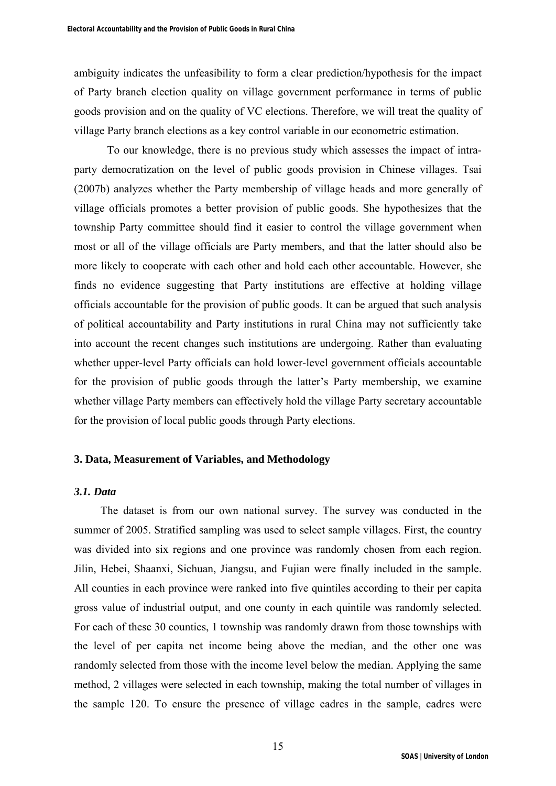ambiguity indicates the unfeasibility to form a clear prediction/hypothesis for the impact of Party branch election quality on village government performance in terms of public goods provision and on the quality of VC elections. Therefore, we will treat the quality of village Party branch elections as a key control variable in our econometric estimation.

To our knowledge, there is no previous study which assesses the impact of intraparty democratization on the level of public goods provision in Chinese villages. Tsai (2007b) analyzes whether the Party membership of village heads and more generally of village officials promotes a better provision of public goods. She hypothesizes that the township Party committee should find it easier to control the village government when most or all of the village officials are Party members, and that the latter should also be more likely to cooperate with each other and hold each other accountable. However, she finds no evidence suggesting that Party institutions are effective at holding village officials accountable for the provision of public goods. It can be argued that such analysis of political accountability and Party institutions in rural China may not sufficiently take into account the recent changes such institutions are undergoing. Rather than evaluating whether upper-level Party officials can hold lower-level government officials accountable for the provision of public goods through the latter's Party membership, we examine whether village Party members can effectively hold the village Party secretary accountable for the provision of local public goods through Party elections.

## **3. Data, Measurement of Variables, and Methodology**

## *3.1. Data*

The dataset is from our own national survey. The survey was conducted in the summer of 2005. Stratified sampling was used to select sample villages. First, the country was divided into six regions and one province was randomly chosen from each region. Jilin, Hebei, Shaanxi, Sichuan, Jiangsu, and Fujian were finally included in the sample. All counties in each province were ranked into five quintiles according to their per capita gross value of industrial output, and one county in each quintile was randomly selected. For each of these 30 counties, 1 township was randomly drawn from those townships with the level of per capita net income being above the median, and the other one was randomly selected from those with the income level below the median. Applying the same method, 2 villages were selected in each township, making the total number of villages in the sample 120. To ensure the presence of village cadres in the sample, cadres were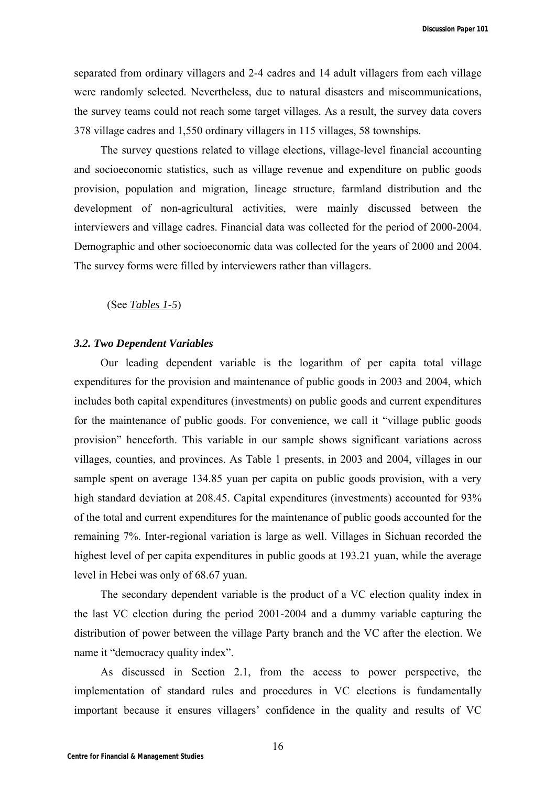separated from ordinary villagers and 2-4 cadres and 14 adult villagers from each village were randomly selected. Nevertheless, due to natural disasters and miscommunications, the survey teams could not reach some target villages. As a result, the survey data covers 378 village cadres and 1,550 ordinary villagers in 115 villages, 58 townships.

The survey questions related to village elections, village-level financial accounting and socioeconomic statistics, such as village revenue and expenditure on public goods provision, population and migration, lineage structure, farmland distribution and the development of non-agricultural activities, were mainly discussed between the interviewers and village cadres. Financial data was collected for the period of 2000-2004. Demographic and other socioeconomic data was collected for the years of 2000 and 2004. The survey forms were filled by interviewers rather than villagers.

## (See *Tables 1-5*)

#### *3.2. Two Dependent Variables*

Our leading dependent variable is the logarithm of per capita total village expenditures for the provision and maintenance of public goods in 2003 and 2004, which includes both capital expenditures (investments) on public goods and current expenditures for the maintenance of public goods. For convenience, we call it "village public goods provision" henceforth. This variable in our sample shows significant variations across villages, counties, and provinces. As Table 1 presents, in 2003 and 2004, villages in our sample spent on average 134.85 yuan per capita on public goods provision, with a very high standard deviation at 208.45. Capital expenditures (investments) accounted for 93% of the total and current expenditures for the maintenance of public goods accounted for the remaining 7%. Inter-regional variation is large as well. Villages in Sichuan recorded the highest level of per capita expenditures in public goods at 193.21 yuan, while the average level in Hebei was only of 68.67 yuan.

The secondary dependent variable is the product of a VC election quality index in the last VC election during the period 2001-2004 and a dummy variable capturing the distribution of power between the village Party branch and the VC after the election. We name it "democracy quality index".

As discussed in Section 2.1, from the access to power perspective, the implementation of standard rules and procedures in VC elections is fundamentally important because it ensures villagers' confidence in the quality and results of VC

16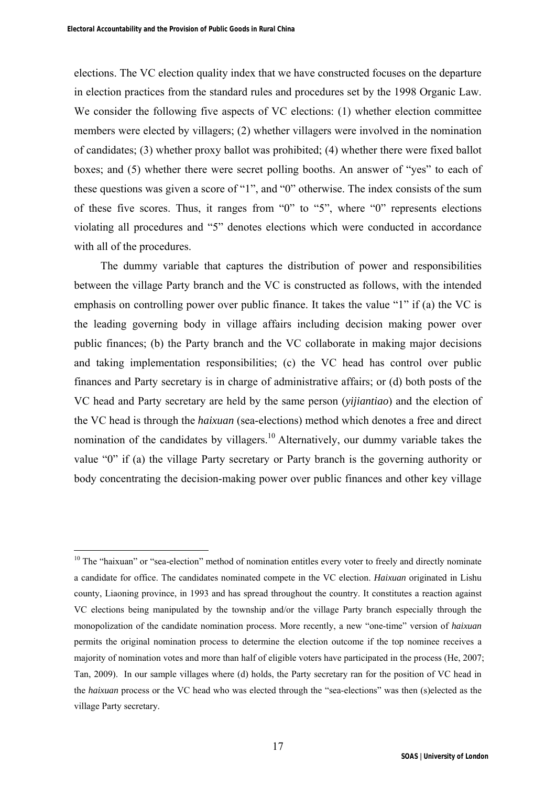$\overline{a}$ 

elections. The VC election quality index that we have constructed focuses on the departure in election practices from the standard rules and procedures set by the 1998 Organic Law. We consider the following five aspects of VC elections: (1) whether election committee members were elected by villagers; (2) whether villagers were involved in the nomination of candidates; (3) whether proxy ballot was prohibited; (4) whether there were fixed ballot boxes; and (5) whether there were secret polling booths. An answer of "yes" to each of these questions was given a score of "1", and "0" otherwise. The index consists of the sum of these five scores. Thus, it ranges from "0" to "5", where "0" represents elections violating all procedures and "5" denotes elections which were conducted in accordance with all of the procedures.

The dummy variable that captures the distribution of power and responsibilities between the village Party branch and the VC is constructed as follows, with the intended emphasis on controlling power over public finance. It takes the value "1" if (a) the VC is the leading governing body in village affairs including decision making power over public finances; (b) the Party branch and the VC collaborate in making major decisions and taking implementation responsibilities; (c) the VC head has control over public finances and Party secretary is in charge of administrative affairs; or (d) both posts of the VC head and Party secretary are held by the same person (*yijiantiao*) and the election of the VC head is through the *haixuan* (sea-elections) method which denotes a free and direct nomination of the candidates by villagers.<sup>10</sup> Alternatively, our dummy variable takes the value "0" if (a) the village Party secretary or Party branch is the governing authority or body concentrating the decision-making power over public finances and other key village

<sup>&</sup>lt;sup>10</sup> The "haixuan" or "sea-election" method of nomination entitles every voter to freely and directly nominate a candidate for office. The candidates nominated compete in the VC election. *Haixuan* originated in Lishu county, Liaoning province, in 1993 and has spread throughout the country. It constitutes a reaction against VC elections being manipulated by the township and/or the village Party branch especially through the monopolization of the candidate nomination process. More recently, a new "one-time" version of *haixuan* permits the original nomination process to determine the election outcome if the top nominee receives a majority of nomination votes and more than half of eligible voters have participated in the process (He, 2007; Tan, 2009). In our sample villages where (d) holds, the Party secretary ran for the position of VC head in the *haixuan* process or the VC head who was elected through the "sea-elections" was then (s)elected as the village Party secretary.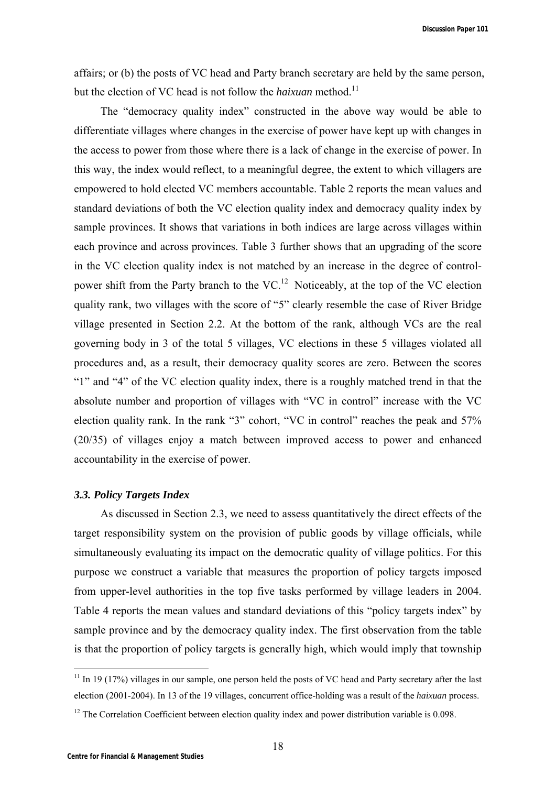affairs; or (b) the posts of VC head and Party branch secretary are held by the same person, but the election of VC head is not follow the *haixuan* method.<sup>11</sup>

The "democracy quality index" constructed in the above way would be able to differentiate villages where changes in the exercise of power have kept up with changes in the access to power from those where there is a lack of change in the exercise of power. In this way, the index would reflect, to a meaningful degree, the extent to which villagers are empowered to hold elected VC members accountable. Table 2 reports the mean values and standard deviations of both the VC election quality index and democracy quality index by sample provinces. It shows that variations in both indices are large across villages within each province and across provinces. Table 3 further shows that an upgrading of the score in the VC election quality index is not matched by an increase in the degree of controlpower shift from the Party branch to the  $VC<sup>12</sup>$  Noticeably, at the top of the VC election quality rank, two villages with the score of "5" clearly resemble the case of River Bridge village presented in Section 2.2. At the bottom of the rank, although VCs are the real governing body in 3 of the total 5 villages, VC elections in these 5 villages violated all procedures and, as a result, their democracy quality scores are zero. Between the scores "1" and "4" of the VC election quality index, there is a roughly matched trend in that the absolute number and proportion of villages with "VC in control" increase with the VC election quality rank. In the rank "3" cohort, "VC in control" reaches the peak and 57% (20/35) of villages enjoy a match between improved access to power and enhanced accountability in the exercise of power.

#### *3.3. Policy Targets Index*

As discussed in Section 2.3, we need to assess quantitatively the direct effects of the target responsibility system on the provision of public goods by village officials, while simultaneously evaluating its impact on the democratic quality of village politics. For this purpose we construct a variable that measures the proportion of policy targets imposed from upper-level authorities in the top five tasks performed by village leaders in 2004. Table 4 reports the mean values and standard deviations of this "policy targets index" by sample province and by the democracy quality index. The first observation from the table is that the proportion of policy targets is generally high, which would imply that township

 $11$  In 19 (17%) villages in our sample, one person held the posts of VC head and Party secretary after the last election (2001-2004). In 13 of the 19 villages, concurrent office-holding was a result of the *haixuan* process.

<sup>&</sup>lt;sup>12</sup> The Correlation Coefficient between election quality index and power distribution variable is 0.098.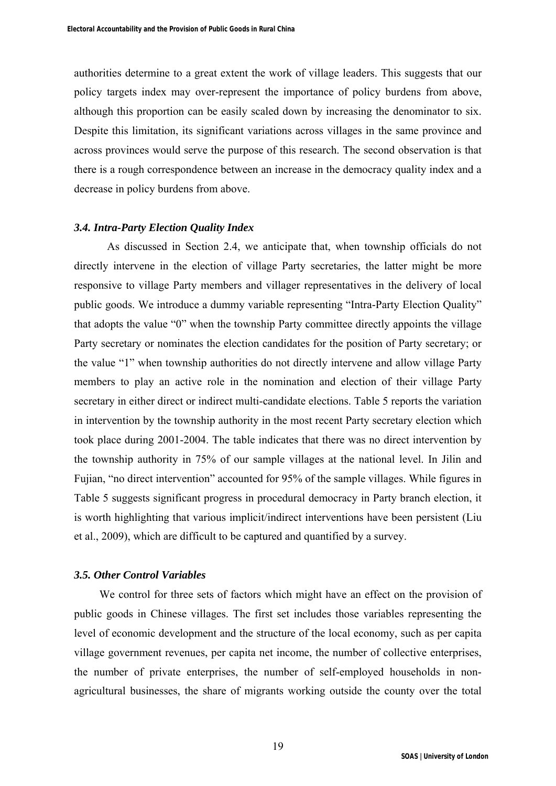authorities determine to a great extent the work of village leaders. This suggests that our policy targets index may over-represent the importance of policy burdens from above, although this proportion can be easily scaled down by increasing the denominator to six. Despite this limitation, its significant variations across villages in the same province and across provinces would serve the purpose of this research. The second observation is that there is a rough correspondence between an increase in the democracy quality index and a decrease in policy burdens from above.

#### *3.4. Intra-Party Election Quality Index*

As discussed in Section 2.4, we anticipate that, when township officials do not directly intervene in the election of village Party secretaries, the latter might be more responsive to village Party members and villager representatives in the delivery of local public goods. We introduce a dummy variable representing "Intra-Party Election Quality" that adopts the value "0" when the township Party committee directly appoints the village Party secretary or nominates the election candidates for the position of Party secretary; or the value "1" when township authorities do not directly intervene and allow village Party members to play an active role in the nomination and election of their village Party secretary in either direct or indirect multi-candidate elections. Table 5 reports the variation in intervention by the township authority in the most recent Party secretary election which took place during 2001-2004. The table indicates that there was no direct intervention by the township authority in 75% of our sample villages at the national level. In Jilin and Fujian, "no direct intervention" accounted for 95% of the sample villages. While figures in Table 5 suggests significant progress in procedural democracy in Party branch election, it is worth highlighting that various implicit/indirect interventions have been persistent (Liu et al., 2009), which are difficult to be captured and quantified by a survey.

## *3.5. Other Control Variables*

We control for three sets of factors which might have an effect on the provision of public goods in Chinese villages. The first set includes those variables representing the level of economic development and the structure of the local economy, such as per capita village government revenues, per capita net income, the number of collective enterprises, the number of private enterprises, the number of self-employed households in nonagricultural businesses, the share of migrants working outside the county over the total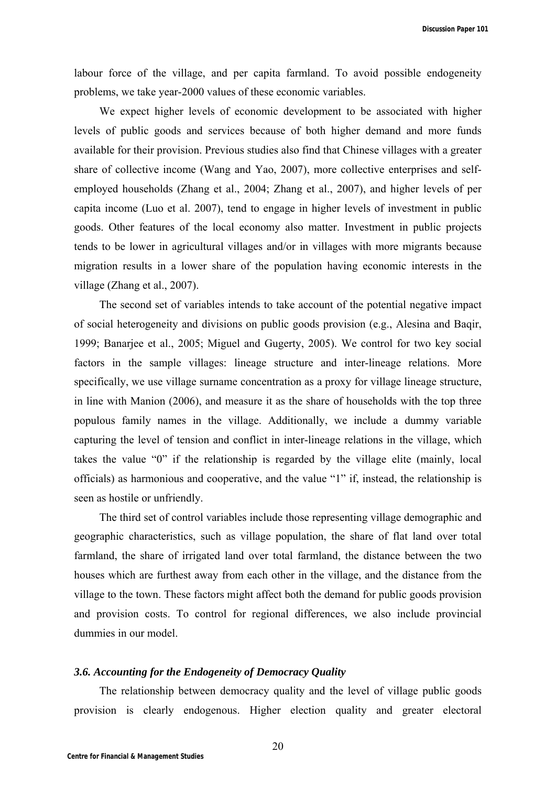labour force of the village, and per capita farmland. To avoid possible endogeneity problems, we take year-2000 values of these economic variables.

We expect higher levels of economic development to be associated with higher levels of public goods and services because of both higher demand and more funds available for their provision. Previous studies also find that Chinese villages with a greater share of collective income (Wang and Yao, 2007), more collective enterprises and selfemployed households (Zhang et al., 2004; Zhang et al., 2007), and higher levels of per capita income (Luo et al. 2007), tend to engage in higher levels of investment in public goods. Other features of the local economy also matter. Investment in public projects tends to be lower in agricultural villages and/or in villages with more migrants because migration results in a lower share of the population having economic interests in the village (Zhang et al., 2007).

The second set of variables intends to take account of the potential negative impact of social heterogeneity and divisions on public goods provision (e.g., Alesina and Baqir, 1999; Banarjee et al., 2005; Miguel and Gugerty, 2005). We control for two key social factors in the sample villages: lineage structure and inter-lineage relations. More specifically, we use village surname concentration as a proxy for village lineage structure, in line with Manion (2006), and measure it as the share of households with the top three populous family names in the village. Additionally, we include a dummy variable capturing the level of tension and conflict in inter-lineage relations in the village, which takes the value "0" if the relationship is regarded by the village elite (mainly, local officials) as harmonious and cooperative, and the value "1" if, instead, the relationship is seen as hostile or unfriendly.

The third set of control variables include those representing village demographic and geographic characteristics, such as village population, the share of flat land over total farmland, the share of irrigated land over total farmland, the distance between the two houses which are furthest away from each other in the village, and the distance from the village to the town. These factors might affect both the demand for public goods provision and provision costs. To control for regional differences, we also include provincial dummies in our model.

#### *3.6. Accounting for the Endogeneity of Democracy Quality*

The relationship between democracy quality and the level of village public goods provision is clearly endogenous. Higher election quality and greater electoral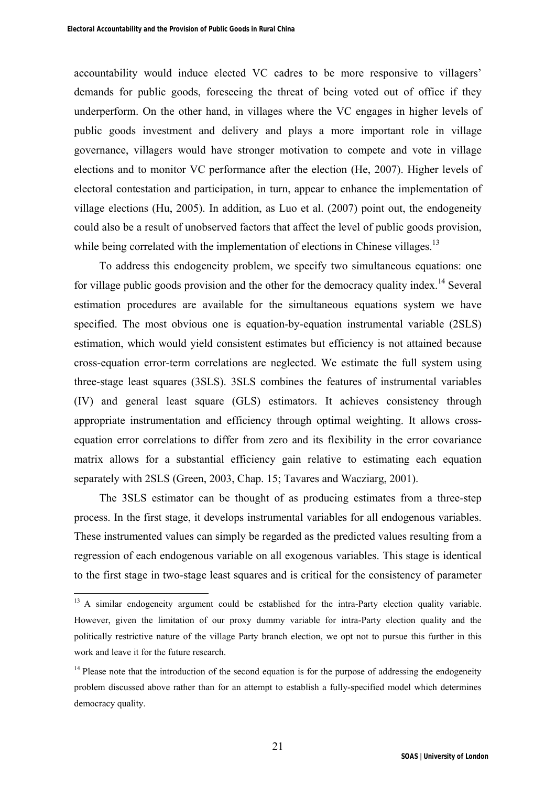accountability would induce elected VC cadres to be more responsive to villagers' demands for public goods, foreseeing the threat of being voted out of office if they underperform. On the other hand, in villages where the VC engages in higher levels of public goods investment and delivery and plays a more important role in village governance, villagers would have stronger motivation to compete and vote in village elections and to monitor VC performance after the election (He, 2007). Higher levels of electoral contestation and participation, in turn, appear to enhance the implementation of village elections (Hu, 2005). In addition, as Luo et al. (2007) point out, the endogeneity could also be a result of unobserved factors that affect the level of public goods provision, while being correlated with the implementation of elections in Chinese villages.<sup>13</sup>

To address this endogeneity problem, we specify two simultaneous equations: one for village public goods provision and the other for the democracy quality index.<sup>14</sup> Several estimation procedures are available for the simultaneous equations system we have specified. The most obvious one is equation-by-equation instrumental variable (2SLS) estimation, which would yield consistent estimates but efficiency is not attained because cross-equation error-term correlations are neglected. We estimate the full system using three-stage least squares (3SLS). 3SLS combines the features of instrumental variables (IV) and general least square (GLS) estimators. It achieves consistency through appropriate instrumentation and efficiency through optimal weighting. It allows crossequation error correlations to differ from zero and its flexibility in the error covariance matrix allows for a substantial efficiency gain relative to estimating each equation separately with 2SLS (Green, 2003, Chap. 15; Tavares and Wacziarg, 2001).

The 3SLS estimator can be thought of as producing estimates from a three-step process. In the first stage, it develops instrumental variables for all endogenous variables. These instrumented values can simply be regarded as the predicted values resulting from a regression of each endogenous variable on all exogenous variables. This stage is identical to the first stage in two-stage least squares and is critical for the consistency of parameter

<sup>&</sup>lt;sup>13</sup> A similar endogeneity argument could be established for the intra-Party election quality variable. However, given the limitation of our proxy dummy variable for intra-Party election quality and the politically restrictive nature of the village Party branch election, we opt not to pursue this further in this work and leave it for the future research.

<sup>&</sup>lt;sup>14</sup> Please note that the introduction of the second equation is for the purpose of addressing the endogeneity problem discussed above rather than for an attempt to establish a fully-specified model which determines democracy quality.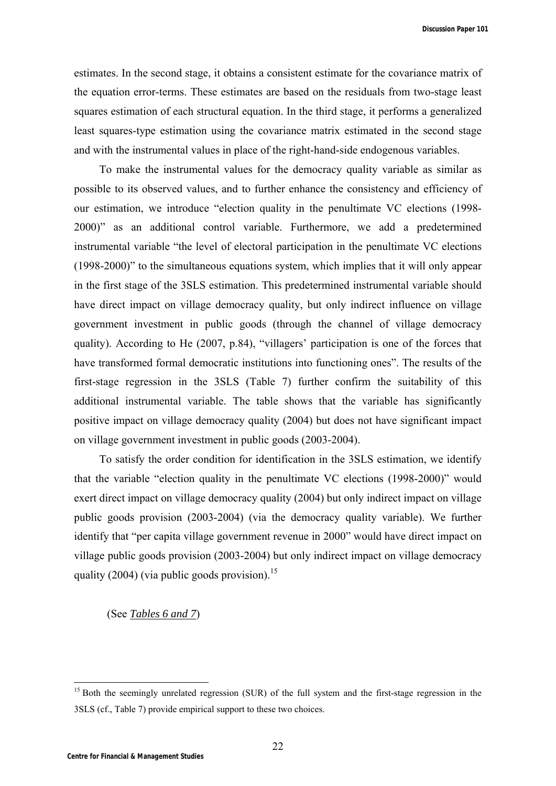**Discussion Paper 101**

estimates. In the second stage, it obtains a consistent estimate for the covariance matrix of the equation error-terms. These estimates are based on the residuals from two-stage least squares estimation of each structural equation. In the third stage, it performs a generalized least squares-type estimation using the covariance matrix estimated in the second stage and with the instrumental values in place of the right-hand-side endogenous variables.

To make the instrumental values for the democracy quality variable as similar as possible to its observed values, and to further enhance the consistency and efficiency of our estimation, we introduce "election quality in the penultimate VC elections (1998- 2000)" as an additional control variable. Furthermore, we add a predetermined instrumental variable "the level of electoral participation in the penultimate VC elections (1998-2000)" to the simultaneous equations system, which implies that it will only appear in the first stage of the 3SLS estimation. This predetermined instrumental variable should have direct impact on village democracy quality, but only indirect influence on village government investment in public goods (through the channel of village democracy quality). According to He (2007, p.84), "villagers' participation is one of the forces that have transformed formal democratic institutions into functioning ones". The results of the first-stage regression in the 3SLS (Table 7) further confirm the suitability of this additional instrumental variable. The table shows that the variable has significantly positive impact on village democracy quality (2004) but does not have significant impact on village government investment in public goods (2003-2004).

To satisfy the order condition for identification in the 3SLS estimation, we identify that the variable "election quality in the penultimate VC elections (1998-2000)" would exert direct impact on village democracy quality (2004) but only indirect impact on village public goods provision (2003-2004) (via the democracy quality variable). We further identify that "per capita village government revenue in 2000" would have direct impact on village public goods provision (2003-2004) but only indirect impact on village democracy quality (2004) (via public goods provision).<sup>15</sup>

(See *Tables 6 and 7*)

<sup>&</sup>lt;sup>15</sup> Both the seemingly unrelated regression (SUR) of the full system and the first-stage regression in the 3SLS (cf., Table 7) provide empirical support to these two choices.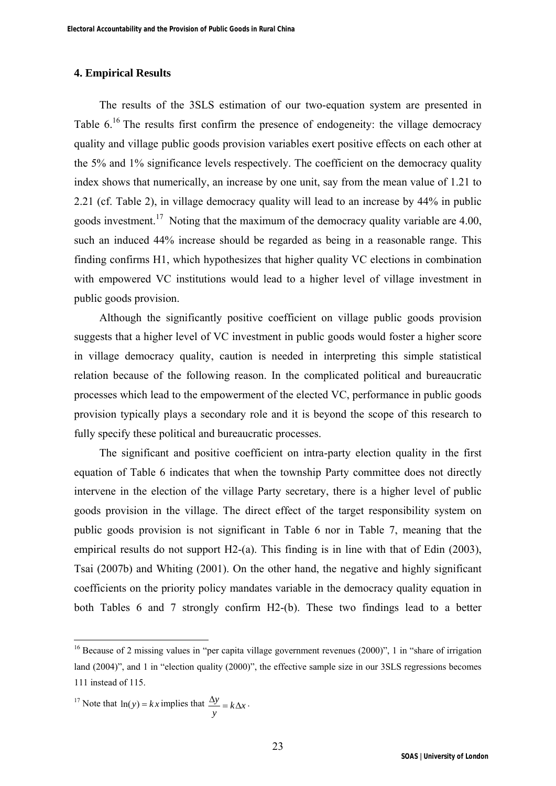## **4. Empirical Results**

The results of the 3SLS estimation of our two-equation system are presented in Table  $6^{16}$  The results first confirm the presence of endogeneity: the village democracy quality and village public goods provision variables exert positive effects on each other at the 5% and 1% significance levels respectively. The coefficient on the democracy quality index shows that numerically, an increase by one unit, say from the mean value of 1.21 to 2.21 (cf. Table 2), in village democracy quality will lead to an increase by 44% in public goods investment.<sup>17</sup> Noting that the maximum of the democracy quality variable are  $4.00$ , such an induced 44% increase should be regarded as being in a reasonable range. This finding confirms H1, which hypothesizes that higher quality VC elections in combination with empowered VC institutions would lead to a higher level of village investment in public goods provision.

Although the significantly positive coefficient on village public goods provision suggests that a higher level of VC investment in public goods would foster a higher score in village democracy quality, caution is needed in interpreting this simple statistical relation because of the following reason. In the complicated political and bureaucratic processes which lead to the empowerment of the elected VC, performance in public goods provision typically plays a secondary role and it is beyond the scope of this research to fully specify these political and bureaucratic processes.

The significant and positive coefficient on intra-party election quality in the first equation of Table 6 indicates that when the township Party committee does not directly intervene in the election of the village Party secretary, there is a higher level of public goods provision in the village. The direct effect of the target responsibility system on public goods provision is not significant in Table 6 nor in Table 7, meaning that the empirical results do not support H2-(a). This finding is in line with that of Edin (2003), Tsai (2007b) and Whiting (2001). On the other hand, the negative and highly significant coefficients on the priority policy mandates variable in the democracy quality equation in both Tables 6 and 7 strongly confirm H2-(b). These two findings lead to a better

<sup>17</sup> Note that 
$$
\ln(y) = kx
$$
 implies that  $\frac{\Delta y}{y} = k\Delta x$ .

<sup>&</sup>lt;sup>16</sup> Because of 2 missing values in "per capita village government revenues  $(2000)$ ", 1 in "share of irrigation land (2004)", and 1 in "election quality (2000)", the effective sample size in our 3SLS regressions becomes 111 instead of 115.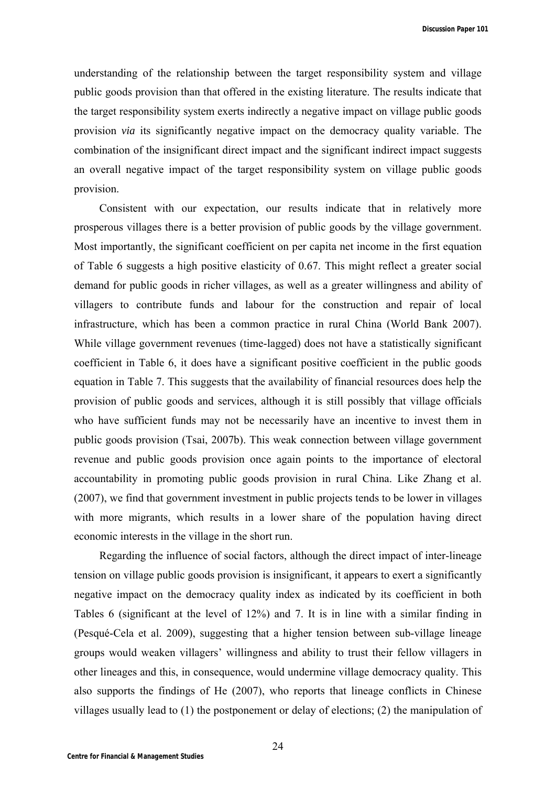understanding of the relationship between the target responsibility system and village public goods provision than that offered in the existing literature. The results indicate that the target responsibility system exerts indirectly a negative impact on village public goods provision *via* its significantly negative impact on the democracy quality variable. The combination of the insignificant direct impact and the significant indirect impact suggests an overall negative impact of the target responsibility system on village public goods provision.

Consistent with our expectation, our results indicate that in relatively more prosperous villages there is a better provision of public goods by the village government. Most importantly, the significant coefficient on per capita net income in the first equation of Table 6 suggests a high positive elasticity of 0.67. This might reflect a greater social demand for public goods in richer villages, as well as a greater willingness and ability of villagers to contribute funds and labour for the construction and repair of local infrastructure, which has been a common practice in rural China (World Bank 2007). While village government revenues (time-lagged) does not have a statistically significant coefficient in Table 6, it does have a significant positive coefficient in the public goods equation in Table 7. This suggests that the availability of financial resources does help the provision of public goods and services, although it is still possibly that village officials who have sufficient funds may not be necessarily have an incentive to invest them in public goods provision (Tsai, 2007b). This weak connection between village government revenue and public goods provision once again points to the importance of electoral accountability in promoting public goods provision in rural China. Like Zhang et al. (2007), we find that government investment in public projects tends to be lower in villages with more migrants, which results in a lower share of the population having direct economic interests in the village in the short run.

Regarding the influence of social factors, although the direct impact of inter-lineage tension on village public goods provision is insignificant, it appears to exert a significantly negative impact on the democracy quality index as indicated by its coefficient in both Tables 6 (significant at the level of 12%) and 7. It is in line with a similar finding in (Pesqué-Cela et al. 2009), suggesting that a higher tension between sub-village lineage groups would weaken villagers' willingness and ability to trust their fellow villagers in other lineages and this, in consequence, would undermine village democracy quality. This also supports the findings of He (2007), who reports that lineage conflicts in Chinese villages usually lead to (1) the postponement or delay of elections; (2) the manipulation of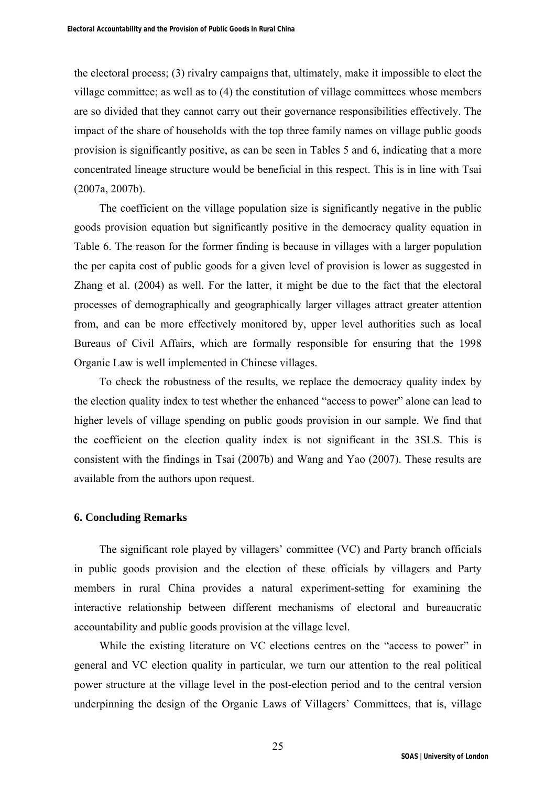the electoral process; (3) rivalry campaigns that, ultimately, make it impossible to elect the village committee; as well as to (4) the constitution of village committees whose members are so divided that they cannot carry out their governance responsibilities effectively. The impact of the share of households with the top three family names on village public goods provision is significantly positive, as can be seen in Tables 5 and 6, indicating that a more concentrated lineage structure would be beneficial in this respect. This is in line with Tsai (2007a, 2007b).

The coefficient on the village population size is significantly negative in the public goods provision equation but significantly positive in the democracy quality equation in Table 6. The reason for the former finding is because in villages with a larger population the per capita cost of public goods for a given level of provision is lower as suggested in Zhang et al. (2004) as well. For the latter, it might be due to the fact that the electoral processes of demographically and geographically larger villages attract greater attention from, and can be more effectively monitored by, upper level authorities such as local Bureaus of Civil Affairs, which are formally responsible for ensuring that the 1998 Organic Law is well implemented in Chinese villages.

To check the robustness of the results, we replace the democracy quality index by the election quality index to test whether the enhanced "access to power" alone can lead to higher levels of village spending on public goods provision in our sample. We find that the coefficient on the election quality index is not significant in the 3SLS. This is consistent with the findings in Tsai (2007b) and Wang and Yao (2007). These results are available from the authors upon request.

## **6. Concluding Remarks**

The significant role played by villagers' committee (VC) and Party branch officials in public goods provision and the election of these officials by villagers and Party members in rural China provides a natural experiment-setting for examining the interactive relationship between different mechanisms of electoral and bureaucratic accountability and public goods provision at the village level.

While the existing literature on VC elections centres on the "access to power" in general and VC election quality in particular, we turn our attention to the real political power structure at the village level in the post-election period and to the central version underpinning the design of the Organic Laws of Villagers' Committees, that is, village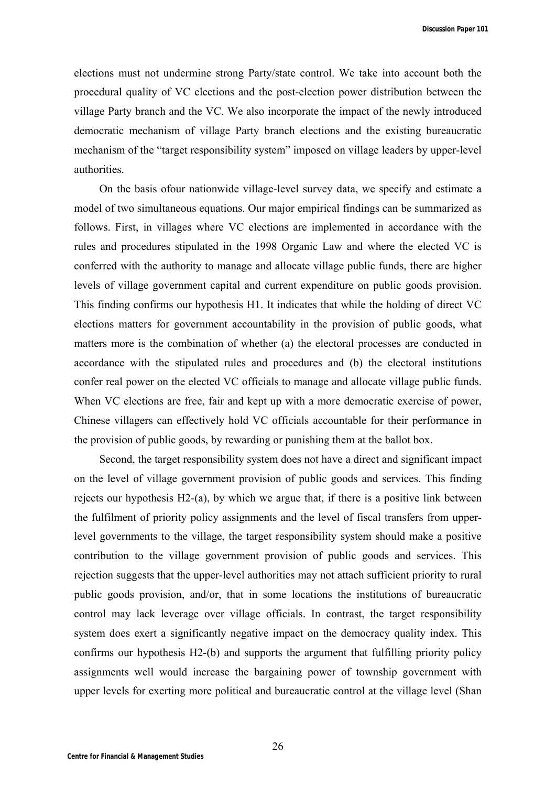elections must not undermine strong Party/state control. We take into account both the procedural quality of VC elections and the post-election power distribution between the village Party branch and the VC. We also incorporate the impact of the newly introduced democratic mechanism of village Party branch elections and the existing bureaucratic mechanism of the "target responsibility system" imposed on village leaders by upper-level authorities.

On the basis ofour nationwide village-level survey data, we specify and estimate a model of two simultaneous equations. Our major empirical findings can be summarized as follows. First, in villages where VC elections are implemented in accordance with the rules and procedures stipulated in the 1998 Organic Law and where the elected VC is conferred with the authority to manage and allocate village public funds, there are higher levels of village government capital and current expenditure on public goods provision. This finding confirms our hypothesis H1. It indicates that while the holding of direct VC elections matters for government accountability in the provision of public goods, what matters more is the combination of whether (a) the electoral processes are conducted in accordance with the stipulated rules and procedures and (b) the electoral institutions confer real power on the elected VC officials to manage and allocate village public funds. When VC elections are free, fair and kept up with a more democratic exercise of power, Chinese villagers can effectively hold VC officials accountable for their performance in the provision of public goods, by rewarding or punishing them at the ballot box.

Second, the target responsibility system does not have a direct and significant impact on the level of village government provision of public goods and services. This finding rejects our hypothesis  $H2-(a)$ , by which we argue that, if there is a positive link between the fulfilment of priority policy assignments and the level of fiscal transfers from upperlevel governments to the village, the target responsibility system should make a positive contribution to the village government provision of public goods and services. This rejection suggests that the upper-level authorities may not attach sufficient priority to rural public goods provision, and/or, that in some locations the institutions of bureaucratic control may lack leverage over village officials. In contrast, the target responsibility system does exert a significantly negative impact on the democracy quality index. This confirms our hypothesis H2-(b) and supports the argument that fulfilling priority policy assignments well would increase the bargaining power of township government with upper levels for exerting more political and bureaucratic control at the village level (Shan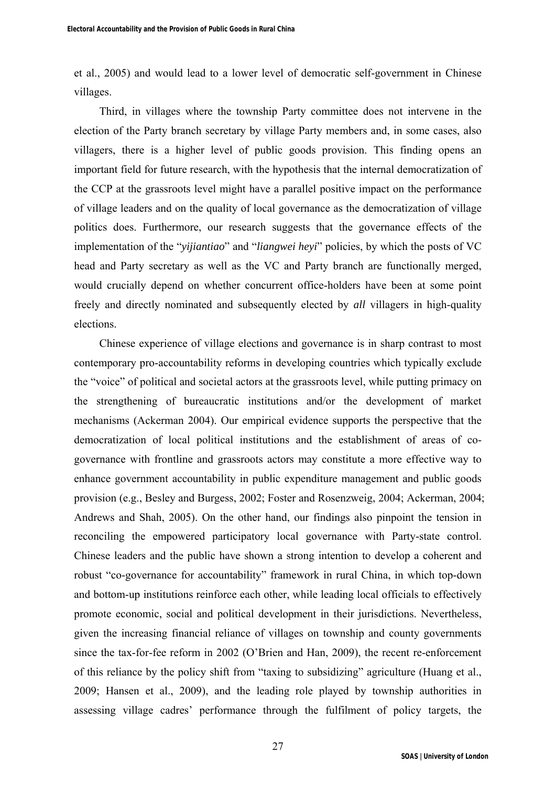et al., 2005) and would lead to a lower level of democratic self-government in Chinese villages.

Third, in villages where the township Party committee does not intervene in the election of the Party branch secretary by village Party members and, in some cases, also villagers, there is a higher level of public goods provision. This finding opens an important field for future research, with the hypothesis that the internal democratization of the CCP at the grassroots level might have a parallel positive impact on the performance of village leaders and on the quality of local governance as the democratization of village politics does. Furthermore, our research suggests that the governance effects of the implementation of the "*yijiantiao*" and "*liangwei heyi*" policies, by which the posts of VC head and Party secretary as well as the VC and Party branch are functionally merged, would crucially depend on whether concurrent office-holders have been at some point freely and directly nominated and subsequently elected by *all* villagers in high-quality elections.

Chinese experience of village elections and governance is in sharp contrast to most contemporary pro-accountability reforms in developing countries which typically exclude the "voice" of political and societal actors at the grassroots level, while putting primacy on the strengthening of bureaucratic institutions and/or the development of market mechanisms (Ackerman 2004). Our empirical evidence supports the perspective that the democratization of local political institutions and the establishment of areas of cogovernance with frontline and grassroots actors may constitute a more effective way to enhance government accountability in public expenditure management and public goods provision (e.g., Besley and Burgess, 2002; Foster and Rosenzweig, 2004; Ackerman, 2004; Andrews and Shah, 2005). On the other hand, our findings also pinpoint the tension in reconciling the empowered participatory local governance with Party-state control. Chinese leaders and the public have shown a strong intention to develop a coherent and robust "co-governance for accountability" framework in rural China, in which top-down and bottom-up institutions reinforce each other, while leading local officials to effectively promote economic, social and political development in their jurisdictions. Nevertheless, given the increasing financial reliance of villages on township and county governments since the tax-for-fee reform in 2002 (O'Brien and Han, 2009), the recent re-enforcement of this reliance by the policy shift from "taxing to subsidizing" agriculture (Huang et al., 2009; Hansen et al., 2009), and the leading role played by township authorities in assessing village cadres' performance through the fulfilment of policy targets, the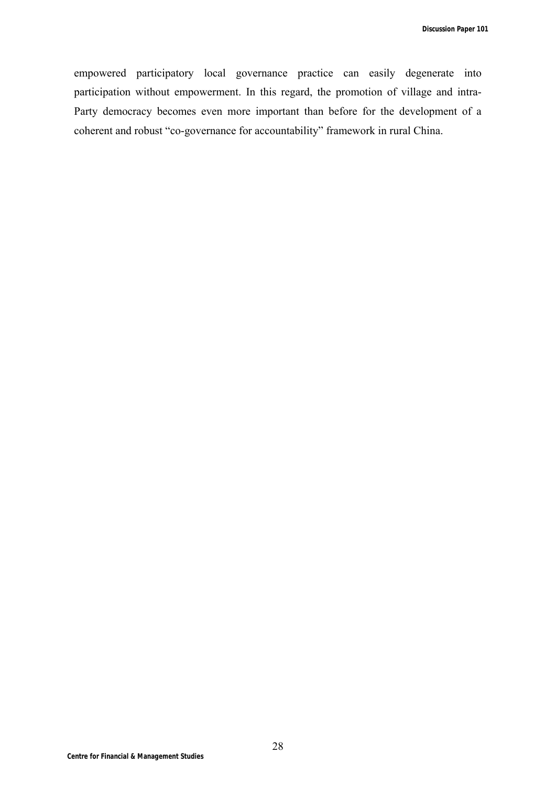empowered participatory local governance practice can easily degenerate into participation without empowerment. In this regard, the promotion of village and intra-Party democracy becomes even more important than before for the development of a coherent and robust "co-governance for accountability" framework in rural China.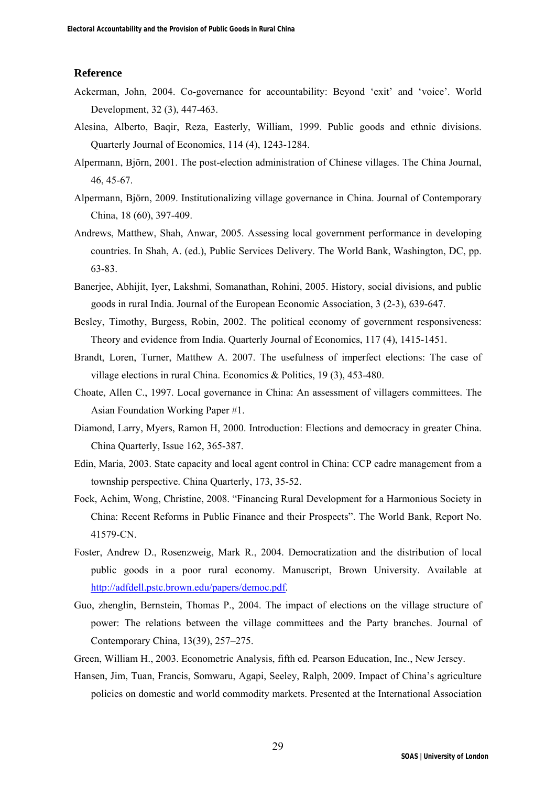#### **Reference**

- Ackerman, John, 2004. Co-governance for accountability: Beyond 'exit' and 'voice'. World Development, 32 (3), 447-463.
- Alesina, Alberto, Baqir, Reza, Easterly, William, 1999. Public goods and ethnic divisions. Quarterly Journal of Economics, 114 (4), 1243-1284.
- Alpermann, Björn, 2001. The post-election administration of Chinese villages. The China Journal, 46, 45-67.
- Alpermann, Björn, 2009. Institutionalizing village governance in China. Journal of Contemporary China, 18 (60), 397-409.
- Andrews, Matthew, Shah, Anwar, 2005. Assessing local government performance in developing countries. In Shah, A. (ed.), Public Services Delivery. The World Bank, Washington, DC, pp. 63-83.
- Banerjee, Abhijit, Iyer, Lakshmi, Somanathan, Rohini, 2005. History, social divisions, and public goods in rural India. Journal of the European Economic Association, 3 (2-3), 639-647.
- Besley, Timothy, Burgess, Robin, 2002. The political economy of government responsiveness: Theory and evidence from India. Quarterly Journal of Economics, 117 (4), 1415-1451.
- Brandt, Loren, Turner, Matthew A. 2007. The usefulness of imperfect elections: The case of village elections in rural China. Economics & Politics, 19 (3), 453-480.
- Choate, Allen C., 1997. Local governance in China: An assessment of villagers committees. The Asian Foundation Working Paper #1.
- Diamond, Larry, Myers, Ramon H, 2000. Introduction: Elections and democracy in greater China. China Quarterly, Issue 162, 365-387.
- Edin, Maria, 2003. State capacity and local agent control in China: CCP cadre management from a township perspective. China Quarterly, 173, 35-52.
- Fock, Achim, Wong, Christine, 2008. "Financing Rural Development for a Harmonious Society in China: Recent Reforms in Public Finance and their Prospects". The World Bank, Report No. 41579-CN.
- Foster, Andrew D., Rosenzweig, Mark R., 2004. Democratization and the distribution of local public goods in a poor rural economy. Manuscript, Brown University. Available at http://adfdell.pstc.brown.edu/papers/democ.pdf.
- Guo, zhenglin, Bernstein, Thomas P., 2004. The impact of elections on the village structure of power: The relations between the village committees and the Party branches. Journal of Contemporary China, 13(39), 257–275.
- Green, William H., 2003. Econometric Analysis, fifth ed. Pearson Education, Inc., New Jersey.
- Hansen, Jim, Tuan, Francis, Somwaru, Agapi, Seeley, Ralph, 2009. Impact of China's agriculture policies on domestic and world commodity markets. Presented at the International Association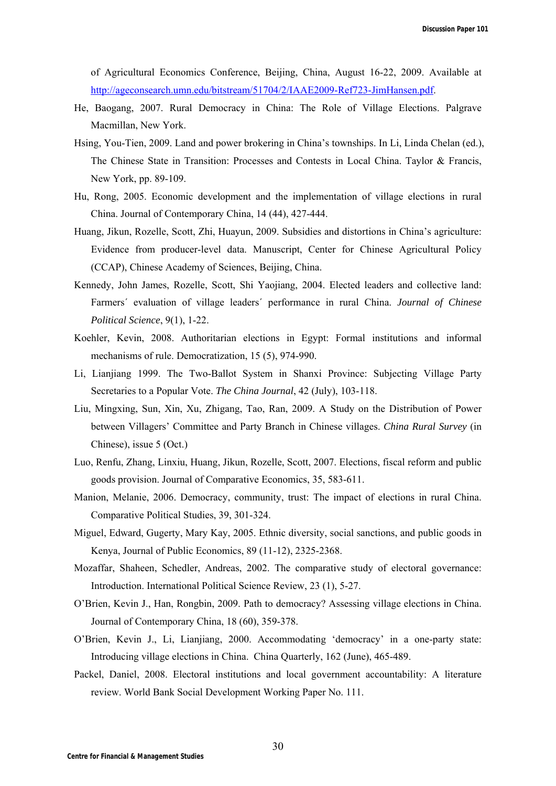of Agricultural Economics Conference, Beijing, China, August 16-22, 2009. Available at http://ageconsearch.umn.edu/bitstream/51704/2/IAAE2009-Ref723-JimHansen.pdf.

- He, Baogang, 2007. Rural Democracy in China: The Role of Village Elections. Palgrave Macmillan, New York.
- Hsing, You-Tien, 2009. Land and power brokering in China's townships. In Li, Linda Chelan (ed.), The Chinese State in Transition: Processes and Contests in Local China. Taylor & Francis, New York, pp. 89-109.
- Hu, Rong, 2005. Economic development and the implementation of village elections in rural China. Journal of Contemporary China, 14 (44), 427-444.
- Huang, Jikun, Rozelle, Scott, Zhi, Huayun, 2009. Subsidies and distortions in China's agriculture: Evidence from producer-level data. Manuscript, Center for Chinese Agricultural Policy (CCAP), Chinese Academy of Sciences, Beijing, China.
- Kennedy, John James, Rozelle, Scott, Shi Yaojiang, 2004. Elected leaders and collective land: Farmers´ evaluation of village leaders´ performance in rural China. *Journal of Chinese Political Science*, 9(1), 1-22.
- Koehler, Kevin, 2008. Authoritarian elections in Egypt: Formal institutions and informal mechanisms of rule. Democratization, 15 (5), 974-990.
- Li, Lianjiang 1999. The Two-Ballot System in Shanxi Province: Subjecting Village Party Secretaries to a Popular Vote. *The China Journal*, 42 (July), 103-118.
- Liu, Mingxing, Sun, Xin, Xu, Zhigang, Tao, Ran, 2009. A Study on the Distribution of Power between Villagers' Committee and Party Branch in Chinese villages. *China Rural Survey* (in Chinese), issue 5 (Oct.)
- Luo, Renfu, Zhang, Linxiu, Huang, Jikun, Rozelle, Scott, 2007. Elections, fiscal reform and public goods provision. Journal of Comparative Economics, 35, 583-611.
- Manion, Melanie, 2006. Democracy, community, trust: The impact of elections in rural China. Comparative Political Studies, 39, 301-324.
- Miguel, Edward, Gugerty, Mary Kay, 2005. Ethnic diversity, social sanctions, and public goods in Kenya, Journal of Public Economics, 89 (11-12), 2325-2368.
- Mozaffar, Shaheen, Schedler, Andreas, 2002. The comparative study of electoral governance: Introduction. International Political Science Review, 23 (1), 5-27.
- O'Brien, Kevin J., Han, Rongbin, 2009. Path to democracy? Assessing village elections in China. Journal of Contemporary China, 18 (60), 359-378.
- O'Brien, Kevin J., Li, Lianjiang, 2000. Accommodating 'democracy' in a one-party state: Introducing village elections in China. China Quarterly, 162 (June), 465-489.
- Packel, Daniel, 2008. Electoral institutions and local government accountability: A literature review. World Bank Social Development Working Paper No. 111.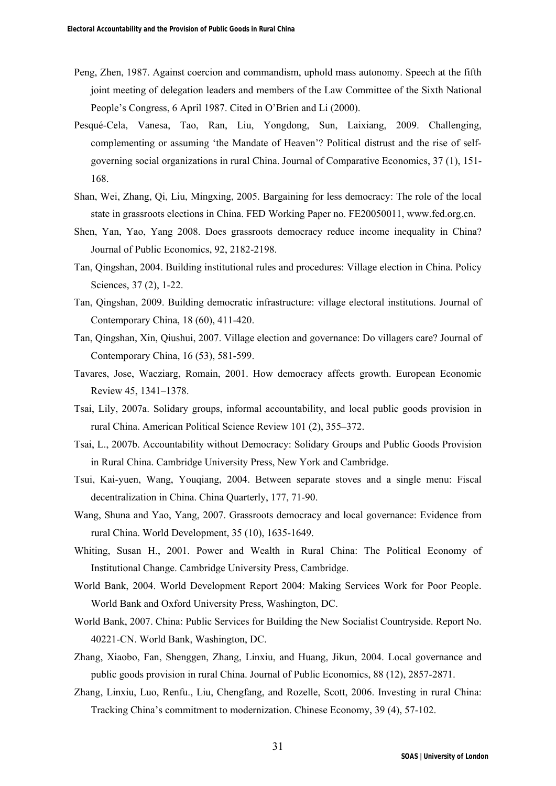- Peng, Zhen, 1987. Against coercion and commandism, uphold mass autonomy. Speech at the fifth joint meeting of delegation leaders and members of the Law Committee of the Sixth National People's Congress, 6 April 1987. Cited in O'Brien and Li (2000).
- Pesqué-Cela, Vanesa, Tao, Ran, Liu, Yongdong, Sun, Laixiang, 2009. Challenging, complementing or assuming 'the Mandate of Heaven'? Political distrust and the rise of selfgoverning social organizations in rural China. Journal of Comparative Economics, 37 (1), 151- 168.
- Shan, Wei, Zhang, Qi, Liu, Mingxing, 2005. Bargaining for less democracy: The role of the local state in grassroots elections in China. FED Working Paper no. FE20050011, www.fed.org.cn.
- Shen, Yan, Yao, Yang 2008. Does grassroots democracy reduce income inequality in China? Journal of Public Economics, 92, 2182-2198.
- Tan, Qingshan, 2004. Building institutional rules and procedures: Village election in China. Policy Sciences, 37 (2), 1-22.
- Tan, Qingshan, 2009. Building democratic infrastructure: village electoral institutions. Journal of Contemporary China, 18 (60), 411-420.
- Tan, Qingshan, Xin, Qiushui, 2007. Village election and governance: Do villagers care? Journal of Contemporary China, 16 (53), 581-599.
- Tavares, Jose, Wacziarg, Romain, 2001. How democracy affects growth. European Economic Review 45, 1341–1378.
- Tsai, Lily, 2007a. Solidary groups, informal accountability, and local public goods provision in rural China. American Political Science Review 101 (2), 355–372.
- Tsai, L., 2007b. Accountability without Democracy: Solidary Groups and Public Goods Provision in Rural China. Cambridge University Press, New York and Cambridge.
- Tsui, Kai-yuen, Wang, Youqiang, 2004. Between separate stoves and a single menu: Fiscal decentralization in China. China Quarterly, 177, 71-90.
- Wang, Shuna and Yao, Yang, 2007. Grassroots democracy and local governance: Evidence from rural China. World Development, 35 (10), 1635-1649.
- Whiting, Susan H., 2001. Power and Wealth in Rural China: The Political Economy of Institutional Change. Cambridge University Press, Cambridge.
- World Bank, 2004. World Development Report 2004: Making Services Work for Poor People. World Bank and Oxford University Press, Washington, DC.
- World Bank, 2007. China: Public Services for Building the New Socialist Countryside. Report No. 40221-CN. World Bank, Washington, DC.
- Zhang, Xiaobo, Fan, Shenggen, Zhang, Linxiu, and Huang, Jikun, 2004. Local governance and public goods provision in rural China. Journal of Public Economics, 88 (12), 2857-2871.
- Zhang, Linxiu, Luo, Renfu., Liu, Chengfang, and Rozelle, Scott, 2006. Investing in rural China: Tracking China's commitment to modernization. Chinese Economy, 39 (4), 57-102.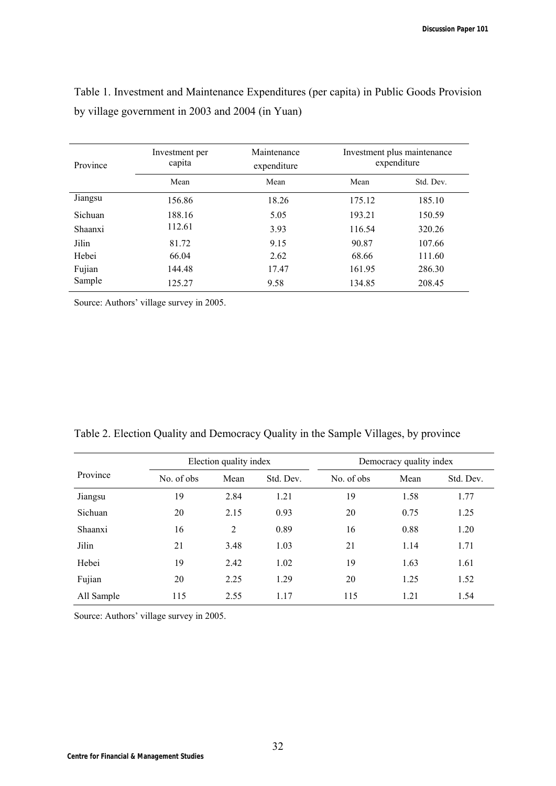| Province       | Investment per<br>capita | Maintenance<br>expenditure |        | Investment plus maintenance<br>expenditure |
|----------------|--------------------------|----------------------------|--------|--------------------------------------------|
|                | Mean                     | Mean                       | Mean   | Std. Dev.                                  |
| Jiangsu        | 156.86                   | 18.26                      | 175.12 | 185.10                                     |
| Sichuan        | 188.16                   | 5.05                       | 193.21 | 150.59                                     |
| <b>Shaanxi</b> | 112.61                   | 3.93                       | 116.54 | 320.26                                     |
| Jilin          | 81.72                    | 9.15                       | 90.87  | 107.66                                     |
| Hebei          | 66.04                    | 2.62                       | 68.66  | 111.60                                     |
| Fujian         | 144.48                   | 17.47                      | 161.95 | 286.30                                     |
| Sample         | 125.27                   | 9.58                       | 134.85 | 208.45                                     |

Table 1. Investment and Maintenance Expenditures (per capita) in Public Goods Provision by village government in 2003 and 2004 (in Yuan)

Source: Authors' village survey in 2005.

|  | Table 2. Election Quality and Democracy Quality in the Sample Villages, by province |  |  |  |  |  |  |  |  |
|--|-------------------------------------------------------------------------------------|--|--|--|--|--|--|--|--|
|--|-------------------------------------------------------------------------------------|--|--|--|--|--|--|--|--|

|            | Election quality index |      | Democracy quality index |            |      |           |
|------------|------------------------|------|-------------------------|------------|------|-----------|
| Province   | No. of obs             | Mean | Std. Dev.               | No. of obs | Mean | Std. Dev. |
| Jiangsu    | 19                     | 2.84 | 1.21                    | 19         | 1.58 | 1.77      |
| Sichuan    | 20                     | 2.15 | 0.93                    | 20         | 0.75 | 1.25      |
| Shaanxi    | 16                     | 2    | 0.89                    | 16         | 0.88 | 1.20      |
| Jilin      | 21                     | 3.48 | 1.03                    | 21         | 1.14 | 1.71      |
| Hebei      | 19                     | 2.42 | 1.02                    | 19         | 1.63 | 1.61      |
| Fujian     | 20                     | 2.25 | 1.29                    | 20         | 1.25 | 1.52      |
| All Sample | 115                    | 2.55 | 1.17                    | 115        | 1.21 | 1.54      |

Source: Authors' village survey in 2005.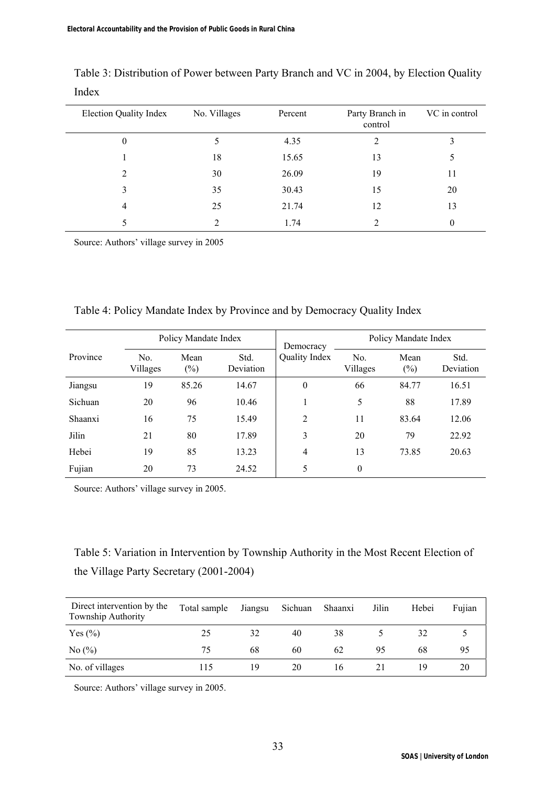| <b>Election Quality Index</b> | No. Villages  | Percent | Party Branch in<br>control | VC in control |
|-------------------------------|---------------|---------|----------------------------|---------------|
| $\theta$                      | 5             | 4.35    | 2                          |               |
|                               | 18            | 15.65   | 13                         | 5             |
| 2                             | 30            | 26.09   | 19                         | 11            |
| 3                             | 35            | 30.43   | 15                         | 20            |
| 4                             | 25            | 21.74   | 12                         | 13            |
|                               | $\mathcal{D}$ | 1.74    | າ                          | 0             |

Table 3: Distribution of Power between Party Branch and VC in 2004, by Election Quality Index

Source: Authors' village survey in 2005

| Policy Mandate Index |                            |                | Democracy         | Policy Mandate Index |                            |                |                   |
|----------------------|----------------------------|----------------|-------------------|----------------------|----------------------------|----------------|-------------------|
| Province             | N <sub>0</sub><br>Villages | Mean<br>$(\%)$ | Std.<br>Deviation | Quality Index        | N <sub>0</sub><br>Villages | Mean<br>$(\%)$ | Std.<br>Deviation |
| Jiangsu              | 19                         | 85.26          | 14.67             | $\boldsymbol{0}$     | 66                         | 84.77          | 16.51             |
| Sichuan              | 20                         | 96             | 10.46             |                      | 5                          | 88             | 17.89             |
| Shaanxi              | 16                         | 75             | 15.49             | 2                    | 11                         | 83.64          | 12.06             |
| Jilin                | 21                         | 80             | 17.89             | 3                    | 20                         | 79             | 22.92             |
| Hebei                | 19                         | 85             | 13.23             | 4                    | 13                         | 73.85          | 20.63             |
| Fujian               | 20                         | 73             | 24.52             | 5                    | $\theta$                   |                |                   |

Table 4: Policy Mandate Index by Province and by Democracy Quality Index

Source: Authors' village survey in 2005.

## Table 5: Variation in Intervention by Township Authority in the Most Recent Election of the Village Party Secretary (2001-2004)

| Direct intervention by the<br>Township Authority | Total sample | Jiangsu | Sichuan | Shaanxi | Jilin | Hebei | Fujian |
|--------------------------------------------------|--------------|---------|---------|---------|-------|-------|--------|
| Yes $(\% )$                                      | 25           | 32      | 40      | 38      |       | 32    |        |
| No(%)                                            | 75           | 68      | 60      | 62      | 95    | 68    |        |
| No. of villages                                  | 115          | 19      | 20      | 16      |       | 19    |        |

Source: Authors' village survey in 2005.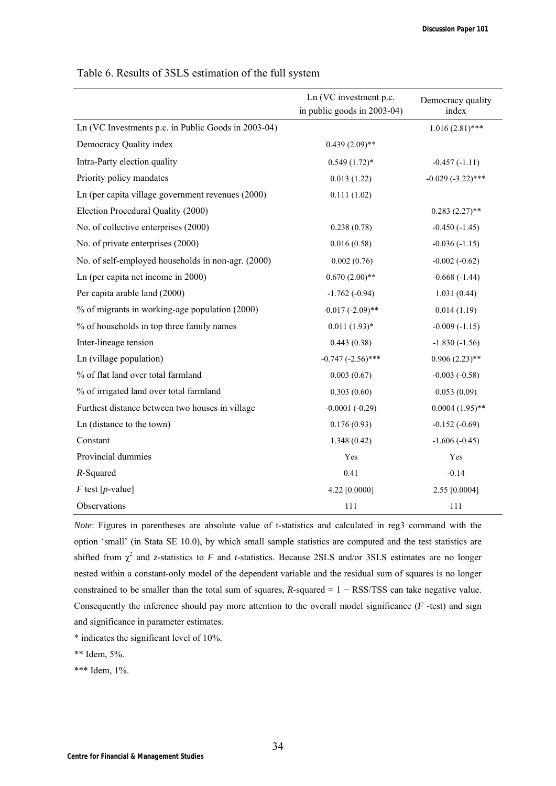|                                                     | Ln (VC investment p.c.<br>in public goods in 2003-04) | Democracy quality<br>index |
|-----------------------------------------------------|-------------------------------------------------------|----------------------------|
|                                                     |                                                       |                            |
| Ln (VC Investments p.c. in Public Goods in 2003-04) |                                                       | $1.016(2.81)$ ***          |
| Democracy Quality index                             | $0.439(2.09)$ **                                      |                            |
| Intra-Party election quality                        | $0.549(1.72)$ *                                       | $-0.457(-1.11)$            |
| Priority policy mandates                            | 0.013(1.22)                                           | $-0.029$ $(-3.22)$ ***     |
| Ln (per capita village government revenues (2000)   | 0.111(1.02)                                           |                            |
| Election Procedural Quality (2000)                  |                                                       | $0.283(2.27)$ **           |
| No. of collective enterprises (2000)                | 0.238(0.78)                                           | $-0.450(-1.45)$            |
| No. of private enterprises (2000)                   | 0.016(0.58)                                           | $-0.036(-1.15)$            |
| No. of self-employed households in non-agr. (2000)  | 0.002(0.76)                                           | $-0.002(-0.62)$            |
| Ln (per capita net income in 2000)                  | $0.670(2.00)$ **                                      | $-0.668(-1.44)$            |
| Per capita arable land (2000)                       | $-1.762(-0.94)$                                       | 1.031(0.44)                |
| % of migrants in working-age population (2000)      | $-0.017$ $(-2.09)$ **                                 | 0.014(1.19)                |
| % of households in top three family names           | $0.011(1.93)*$                                        | $-0.009(-1.15)$            |
| Inter-lineage tension                               | 0.443(0.38)                                           | $-1.830(-1.56)$            |
| Ln (village population)                             | $-0.747$ $(-2.56)$ ***                                | $0.906(2.23)$ **           |
| % of flat land over total farmland                  | 0.003(0.67)                                           | $-0.003(-0.58)$            |
| % of irrigated land over total farmland             | 0.303(0.60)                                           | 0.053(0.09)                |
| Furthest distance between two houses in village     | $-0.0001(-0.29)$                                      | $0.0004(1.95)$ **          |
| Ln (distance to the town)                           | 0.176(0.93)                                           | $-0.152(-0.69)$            |
| Constant                                            | 1.348(0.42)                                           | $-1.606(-0.45)$            |
| Provincial dummies                                  | Yes                                                   | Yes                        |
| $R$ -Squared                                        | 0.41                                                  | $-0.14$                    |
| $F$ test [p-value]                                  | 4.22 [0.0000]                                         | 2.55 [0.0004]              |
| Observations                                        | 111                                                   | 111                        |

Table 6. Results of 3SLS estimation of the full system

*Note*: Figures in parentheses are absolute value of t-statistics and calculated in reg3 command with the option 'small' (in Stata SE 10.0), by which small sample statistics are computed and the test statistics are shifted from  $\chi^2$  and *z*-statistics to *F* and *t*-statistics. Because 2SLS and/or 3SLS estimates are no longer nested within a constant-only model of the dependent variable and the residual sum of squares is no longer constrained to be smaller than the total sum of squares, *R*-squared = 1 − RSS/TSS can take negative value. Consequently the inference should pay more attention to the overall model significance (*F* -test) and sign and significance in parameter estimates.

\* indicates the significant level of 10%.

\*\* Idem, 5%.

\*\*\* Idem, 1%.